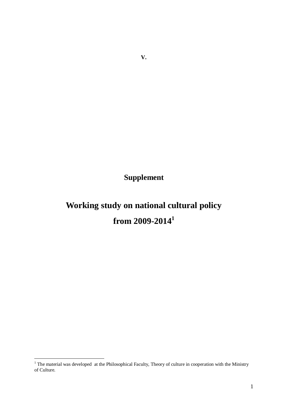**Supplement** 

# **Working study on national cultural policy from 2009-2014<sup>1</sup>**

 $\overline{a}$ 

 $<sup>1</sup>$  The material was developed at the Philosophical Faculty, Theory of culture in cooperation with the Ministry</sup> of Culture.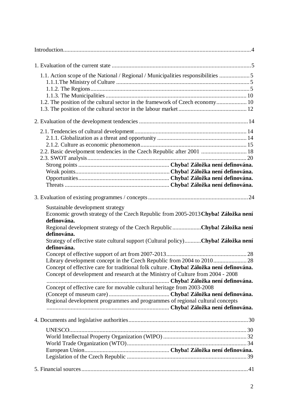| 1.1. Action scope of the National / Regional / Municipalities responsibilities 5<br>1.2. The position of the cultural sector in the framework of Czech economy 10                                                                                    |  |
|------------------------------------------------------------------------------------------------------------------------------------------------------------------------------------------------------------------------------------------------------|--|
|                                                                                                                                                                                                                                                      |  |
| 2.2. Basic develpoment tendencies in the Czech Republic after 2001  18                                                                                                                                                                               |  |
|                                                                                                                                                                                                                                                      |  |
| Sustainable development strategy<br>Economic growth strategy of the Czech Republic from 2005-2013 Chyba! Záložka není<br>definována.<br>Regional development strategy of the Czech Republic Chyba! Záložka není                                      |  |
| definována.<br>Strategy of effective state cultural support (Cultural policy)Chyba! Záložka není<br>definována.                                                                                                                                      |  |
| Concept of effective care for traditional folk culture. Chyba! Záložka není definována.<br>Concept of development and research at the Ministry of Culture from 2004 - 2008<br>Concept of effective care for movable cultural heritage from 2003-2008 |  |
| Regional development programmes and programmes of regional cultural concepts                                                                                                                                                                         |  |
|                                                                                                                                                                                                                                                      |  |
|                                                                                                                                                                                                                                                      |  |
|                                                                                                                                                                                                                                                      |  |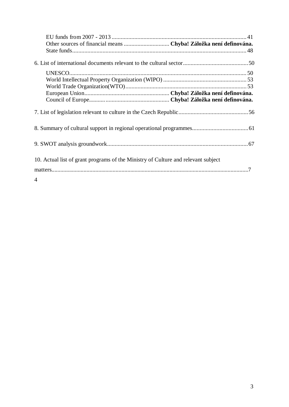| Other sources of financial means  Chyba! Záložka není definována.                 |  |
|-----------------------------------------------------------------------------------|--|
|                                                                                   |  |
|                                                                                   |  |
|                                                                                   |  |
|                                                                                   |  |
|                                                                                   |  |
|                                                                                   |  |
|                                                                                   |  |
|                                                                                   |  |
| 10. Actual list of grant programs of the Ministry of Culture and relevant subject |  |
|                                                                                   |  |
| 4                                                                                 |  |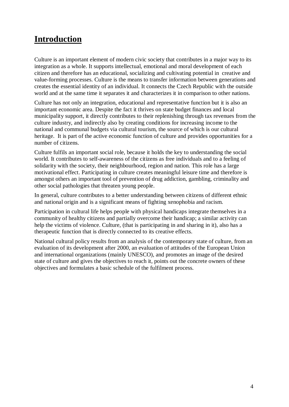## **Introduction**

Culture is an important element of modern civic society that contributes in a major way to its integration as a whole. It supports intellectual, emotional and moral development of each citizen and therefore has an educational, socializing and cultivating potential in creative and value-forming processes. Culture is the means to transfer information between generations and creates the essential identity of an individual. It connects the Czech Republic with the outside world and at the same time it separates it and characterizes it in comparison to other nations.

Culture has not only an integration, educational and representative function but it is also an important economic area. Despite the fact it thrives on state budget finances and local municipality support, it directly contributes to their replenishing through tax revenues from the culture industry, and indirectly also by creating conditions for increasing income to the national and communal budgets via cultural tourism, the source of which is our cultural heritage. It is part of the active economic function of culture and provides opportunities for a number of citizens.

Culture fulfils an important social role, because it holds the key to understanding the social world. It contributes to self-awareness of the citizens as free individuals and to a feeling of solidarity with the society, their neighbourhood, region and nation. This role has a large motivational effect. Participating in culture creates meaningful leisure time and therefore is amongst others an important tool of prevention of drug addiction, gambling, criminality and other social pathologies that threaten young people.

In general, culture contributes to a better understanding between citizens of different ethnic and national origin and is a significant means of fighting xenophobia and racism.

Participation in cultural life helps people with physical handicaps integrate themselves in a community of healthy citizens and partially overcome their handicap; a similar activity can help the victims of violence. Culture, (that is participating in and sharing in it), also has a therapeutic function that is directly connected to its creative effects.

National cultural policy results from an analysis of the contemporary state of culture, from an evaluation of its development after 2000, an evaluation of attitudes of the European Union and international organizations (mainly UNESCO), and promotes an image of the desired state of culture and gives the objectives to reach it, points out the concrete owners of these objectives and formulates a basic schedule of the fulfilment process.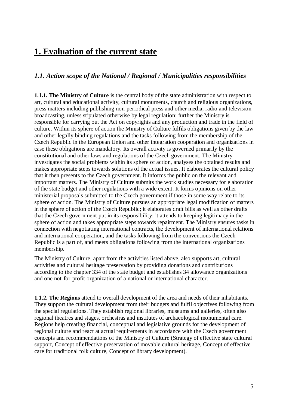## **1. Evaluation of the current state**

## *1.1. Action scope of the National / Regional / Municipalities responsibilities*

**1.1.1. The Ministry of Culture** is the central body of the state administration with respect to art, cultural and educational activity, cultural monuments, church and religious organizations, press matters including publishing non-periodical press and other media, radio and television broadcasting, unless stipulated otherwise by legal regulation; further the Ministry is responsible for carrying out the Act on copyrights and any production and trade in the field of culture. Within its sphere of action the Ministry of Culture fulfils obligations given by the law and other legally binding regulations and the tasks following from the membership of the Czech Republic in the European Union and other integration cooperation and organizations in case these obligations are mandatory. Its overall activity is governed primarily by the constitutional and other laws and regulations of the Czech government. The Ministry investigates the social problems within its sphere of action, analyses the obtained results and makes appropriate steps towards solutions of the actual issues. It elaborates the cultural policy that it then presents to the Czech government. It informs the public on the relevant and important matters. The Ministry of Culture submits the work studies necessary for elaboration of the state budget and other regulations with a wide extent. It forms opinions on other ministerial proposals submitted to the Czech government if those in some way relate to its sphere of action. The Ministry of Culture pursues an appropriate legal modification of matters in the sphere of action of the Czech Republic; it elaborates draft bills as well as other drafts that the Czech government put in its responsibility; it attends to keeping legitimacy in the sphere of action and takes appropriate steps towards repairment. The Ministry ensures tasks in connection with negotiating international contracts, the development of international relations and international cooperation, and the tasks following from the conventions the Czech Republic is a part of, and meets obligations following from the international organizations membership.

The Ministry of Culture, apart from the activities listed above, also supports art, cultural activities and cultural heritage preservation by providing donations and contributions according to the chapter 334 of the state budget and establishes 34 allowance organizations and one not-for-profit organization of a national or international character.

**1.1.2. The Regions** attend to overall development of the area and needs of their inhabitants. They support the cultural development from their budgets and fulfil objectives following from the special regulations. They establish regional libraries, museums and galleries, often also regional theatres and stages, orchestras and institutes of archaeological monumental care. Regions help creating financial, conceptual and legislative grounds for the development of regional culture and react at actual requirements in accordance with the Czech government concepts and recommendations of the Ministry of Culture (Strategy of effective state cultural support, Concept of effective preservation of movable cultural heritage, Concept of effective care for traditional folk culture, Concept of library development).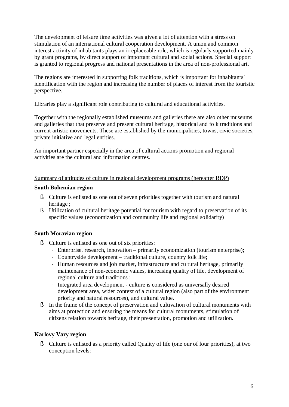The development of leisure time activities was given a lot of attention with a stress on stimulation of an international cultural cooperation development. A union and common interest activity of inhabitants plays an irreplaceable role, which is regularly supported mainly by grant programs, by direct support of important cultural and social actions. Special support is granted to regional progress and national presentations in the area of non-professional art.

The regions are interested in supporting folk traditions, which is important for inhabitants<sup> $\checkmark$ </sup> identification with the region and increasing the number of places of interest from the touristic perspective.

Libraries play a significant role contributing to cultural and educational activities.

Together with the regionally established museums and galleries there are also other museums and galleries that that preserve and present cultural heritage, historical and folk traditions and current artistic movements. These are established by the municipalities, towns, civic societies, private initiative and legal entities.

An important partner especially in the area of cultural actions promotion and regional activities are the cultural and information centres.

## Summary of attitudes of culture in regional development programs (hereafter RDP)

#### **South Bohemian region**

- § Culture is enlisted as one out of seven priorities together with tourism and natural heritage ;
- § Utilization of cultural heritage potential for tourism with regard to preservation of its specific values (economization and community life and regional solidarity)

## **South Moravian region**

- § Culture is enlisted as one out of six priorities:
	- Enterprise, research, innovation primarily economization (tourism enterprise);
	- Countryside development traditional culture, country folk life;
	- Human resources and job market, infrastructure and cultural heritage, primarily maintenance of non-economic values, increasing quality of life, development of regional culture and traditions ;
	- Integrated area development culture is considered as universally desired development area, wider context of a cultural region (also part of the environment priority and natural resources), and cultural value.
- § In the frame of the concept of preservation and cultivation of cultural monuments with aims at protection and ensuring the means for cultural monuments, stimulation of citizens relation towards heritage, their presentation, promotion and utilization.

## **Karlovy Vary region**

§ Culture is enlisted as a priority called Quality of life (one our of four priorities), at two conception levels: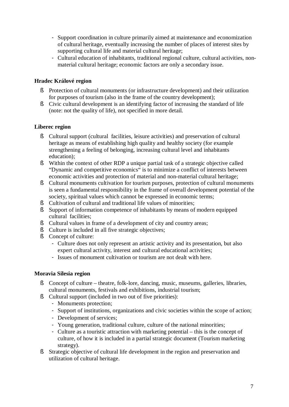- Support coordination in culture primarily aimed at maintenance and economization of cultural heritage, eventually increasing the number of places of interest sites by supporting cultural life and material cultural heritage;
- Cultural education of inhabitants, traditional regional culture, cultural activities, nonmaterial cultural heritage; economic factors are only a secondary issue.

## **Hradec Králové region**

- § Protection of cultural monuments (or infrastructure development) and their utilization for purposes of tourism (also in the frame of the country development);
- § Civic cultural development is an identifying factor of increasing the standard of life (note: not the quality of life), not specified in more detail.

## **Liberec region**

- § Cultural support (cultural facilities, leisure activities) and preservation of cultural heritage as means of establishing high quality and healthy society (for example strengthening a feeling of belonging, increasing cultural level and inhabitants education);
- § Within the context of other RDP a unique partial task of a strategic objective called "Dynamic and competitive economics" is to minimize a conflict of interests between economic activities and protection of material and non-material cultural heritage;
- § Cultural monuments cultivation for tourism purposes, protection of cultural monuments is seen a fundamental responsibility in the frame of overall development potential of the society, spiritual values which cannot be expressed in economic terms;
- § Cultivation of cultural and traditional life values of minorities;
- § Support of information competence of inhabitants by means of modern equipped cultural facilities;
- § Cultural values in frame of a development of city and country areas;
- § Culture is included in all five strategic objectives;
- § Concept of culture:
	- Culture does not only represent an artistic activity and its presentation, but also expert cultural activity, interest and cultural educational activities;
	- Issues of monument cultivation or tourism are not dealt with here.

## **Moravia Silesia region**

- § Concept of culture theatre, folk-lore, dancing, music, museums, galleries, libraries, cultural monuments, festivals and exhibitions, industrial tourism;
- § Cultural support (included in two out of five priorities):
	- Monuments protection;
	- Support of institutions, organizations and civic societies within the scope of action;
	- Development of services;
	- Young generation, traditional culture, culture of the national minorities;
	- Culture as a touristic attraction with marketing potential this is the concept of culture, of how it is included in a partial strategic document (Tourism marketing strategy).
- § Strategic objective of cultural life development in the region and preservation and utilization of cultural heritage.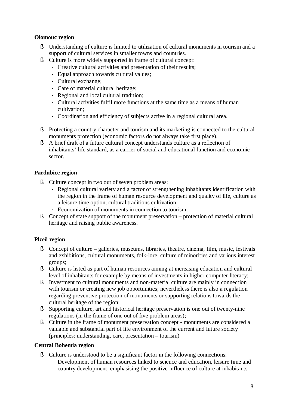## **Olomouc region**

- § Understanding of culture is limited to utilization of cultural monuments in tourism and a support of cultural services in smaller towns and countries.
- § Culture is more widely supported in frame of cultural concept:
	- Creative cultural activities and presentation of their results;
	- Equal approach towards cultural values;
	- Cultural exchange;
	- Care of material cultural heritage;
	- Regional and local cultural tradition;
	- Cultural activities fulfil more functions at the same time as a means of human cultivation;
	- Coordination and efficiency of subjects active in a regional cultural area.
- § Protecting a country character and tourism and its marketing is connected to the cultural monuments protection (economic factors do not always take first place).
- § A brief draft of a future cultural concept understands culture as a reflection of inhabitants' life standard, as a carrier of social and educational function and economic sector.

## **Pardubice region**

- § Culture concept in two out of seven problem areas:
	- Regional cultural variety and a factor of strengthening inhabitants identification with the region in the frame of human resource development and quality of life, culture as a leisure time option, cultural traditions cultivation;
	- Economization of monuments in connection to tourism;
- § Concept of state support of the monument preservation protection of material cultural heritage and raising public awareness.

## **Plzeň region**

- § Concept of culture galleries, museums, libraries, theatre, cinema, film, music, festivals and exhibitions, cultural monuments, folk-lore, culture of minorities and various interest groups;
- § Culture is listed as part of human resources aiming at increasing education and cultural level of inhabitants for example by means of investments in higher computer literacy;
- § Investment to cultural monuments and non-material culture are mainly in connection with tourism or creating new job opportunities; nevertheless there is also a regulation regarding preventive protection of monuments or supporting relations towards the cultural heritage of the region;
- § Supporting culture, art and historical heritage preservation is one out of twenty-nine regulations (in the frame of one out of five problem areas);
- § Culture in the frame of monument preservation concept monuments are considered a valuable and substantial part of life environment of the current and future society (principles: understanding, care, presentation – tourism)

## **Central Bohemia region**

- § Culture is understood to be a significant factor in the following connections:
	- Development of human resources linked to science and education, leisure time and country development; emphasising the positive influence of culture at inhabitants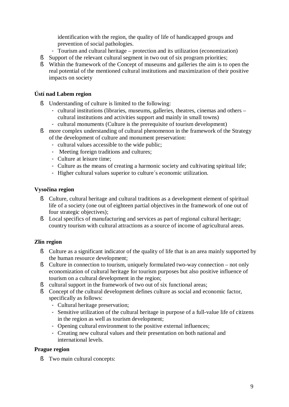identification with the region, the quality of life of handicapped groups and prevention of social pathologies.

- Tourism and cultural heritage protection and its utilization (economization)
- § Support of the relevant cultural segment in two out of six program priorities;
- § Within the framework of the Concept of museums and galleries the aim is to open the real potential of the mentioned cultural institutions and maximization of their positive impacts on society

## **Ústí nad Labem region**

- § Understanding of culture is limited to the following:
	- cultural institutions (libraries, museums, galleries, theatres, cinemas and others cultural institutions and activities support and mainly in small towns)
	- cultural monuments (Culture is the prerequisite of tourism development)
- § more complex understanding of cultural phenomenon in the framework of the Strategy of the development of culture and monument preservation:
	- cultural values accessible to the wide public;
	- Meeting foreign traditions and cultures;
	- Culture at leisure time;
	- Culture as the means of creating a harmonic society and cultivating spiritual life;
	- Higher cultural values superior to culture´s economic utilization.

#### **Vysočina region**

- § Culture, cultural heritage and cultural traditions as a development element of spiritual life of a society (one out of eighteen partial objectives in the framework of one out of four strategic objectives);
- § Local specifics of manufacturing and services as part of regional cultural heritage; country tourism with cultural attractions as a source of income of agricultural areas.

## **Zlín region**

- § Culture as a significant indicator of the quality of life that is an area mainly supported by the human resource development;
- § Culture in connection to tourism, uniquely formulated two-way connection not only economization of cultural heritage for tourism purposes but also positive influence of tourism on a cultural development in the region;
- § cultural support in the framework of two out of six functional areas;
- § Concept of the cultural development defines culture as social and economic factor, specifically as follows:
	- Cultural heritage preservation;
	- Sensitive utilization of the cultural heritage in purpose of a full-value life of citizens in the region as well as tourism development;
	- Opening cultural environment to the positive external influences;
	- Creating new cultural values and their presentation on both national and international levels.

## **Prague region**

§ Two main cultural concepts: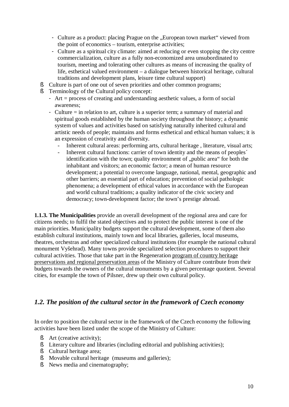- Culture as a product: placing Prague on the "European town market" viewed from the point of economics – tourism, enterprise activities;
- Culture as a spiritual city climate: aimed at reducing or even stopping the city centre commercialization, culture as a fully non-economized area unsubordinated to tourism, meeting and tolerating other cultures as means of increasing the quality of life, esthetical valued environment – a dialogue between historical heritage, cultural traditions and development plans, leisure time cultural support)
- § Culture is part of one out of seven priorities and other common programs;
- § Terminology of the Cultural policy concept:
	- Art = process of creating and understanding aesthetic values, a form of social awareness;
	- Culture = in relation to art, culture is a superior term; a summary of material and spiritual goods established by the human society throughout the history; a dynamic system of values and activities based on satisfying naturally inherited cultural and artistic needs of people; maintains and forms esthetical and ethical human values; it is an expression of creativity and diversity.
		- Inherent cultural areas: performing arts, cultural heritage , literature, visual arts;
		- Inherent cultural functions: carrier of town identity and the means of peoples<sup> $\checkmark$ </sup> identification with the town; quality environment of "public area" for both the inhabitant and visitors; an economic factor; a mean of human resource development; a potential to overcome language, national, mental, geographic and other barriers; an essential part of education; prevention of social pathologic phenomena; a development of ethical values in accordance with the European and world cultural traditions; a quality indicator of the civic society and democracy; town-development factor; the town's prestige abroad.

**1.1.3. The Municipalities** provide an overall development of the regional area and care for citizens needs; to fulfil the stated objectives and to protect the public interest is one of the main priorities. Municipality budgets support the cultural development, some of them also establish cultural institutions, mainly town and local libraries, galleries, local museums, theatres, orchestras and other specialized cultural institutions (for example the national cultural monument Vyšehrad). Many towns provide specialized selection procedures to support their cultural activities. Those that take part in the Regeneration program of country heritage preservations and regional preservation areas of the Ministry of Culture contribute from their budgets towards the owners of the cultural monuments by a given percentage quotient. Several cities, for example the town of Pilsner, drew up their own cultural policy.

## *1.2. The position of the cultural sector in the framework of Czech economy*

In order to position the cultural sector in the framework of the Czech economy the following activities have been listed under the scope of the Ministry of Culture:

- § Art (creative activity);
- § Literary culture and libraries (including editorial and publishing activities);
- § Cultural heritage area;
- § Movable cultural heritage (museums and galleries);
- § News media and cinematography;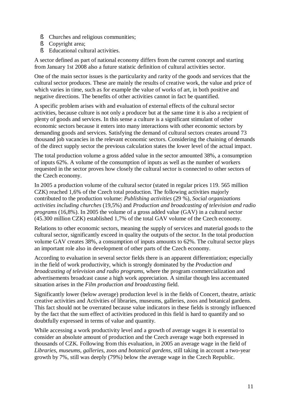- § Churches and religious communities;
- § Copyright area;
- § Educational cultural activities.

A sector defined as part of national economy differs from the current concept and starting from January 1st 2008 also a future statistic definition of cultural activities sector.

One of the main sector issues is the particularity and rarity of the goods and services that the cultural sector produces. These are mainly the results of creative work, the value and price of which varies in time, such as for example the value of works of art, in both positive and negative directions. The benefits of other activities cannot in fact be quantified.

A specific problem arises with and evaluation of external effects of the cultural sector activities, because culture is not only a producer but at the same time it is also a recipient of plenty of goods and services. In this sense a culture is a significant stimulant of other economic sectors because it enters into many interactions with other economic sectors by demanding goods and services. Satisfying the demand of cultural sectors creates around 73 thousand job vacancies in the relevant economic sectors. Considering the chaining of demands of the direct supply sector the previous calculation states the lower level of the actual impact.

The total production volume a gross added value in the sector amounted 38%, a consumption of inputs 62%. A volume of the consumption of inputs as well as the number of workers requested in the sector proves how closely the cultural sector is connected to other sectors of the Czech economy.

In 2005 a production volume of the cultural sector (stated in regular prices 119. 565 million CZK) reached 1,6% of the Czech total production. The following activities majorly contributed to the production volume: *Publishing activities* (29 %), *Social organizations activities including churches* (19,5%) and *Production and broadcasting of television and radio programs* (16,8%). In 2005 the volume of a gross added value (GAV) in a cultural sector (45.300 million CZK) established 1,7% of the total GAV volume of the Czech economy.

Relations to other economic sectors, meaning the supply of services and material goods to the cultural sector, significantly exceed in quality the outputs of the sector. In the total production volume GAV creates 38%, a consumption of inputs amounts to 62%. The cultural sector plays an important role also in development of other parts of the Czech economy.

According to evaluation in several sector fields there is an apparent differentiation; especially in the field of work productivity, which is strongly dominated by the *Production and broadcasting of television and radio programs*, where the program commercialization and advertisements broadcast cause a high work appreciation. A similar though less accentuated situation arises in the *Film production and broadcasting* field.

Significantly lower (below average) production level is in the fields of Concert, theatre, artistic creative activities and Activities of libraries, museums, galleries, zoos and botanical gardens. This fact should not be overrated because value indicators in these fields is strongly influenced by the fact that the sum effect of activities produced in this field is hard to quantify and so doubtfully expressed in terms of value and quantity.

While accessing a work productivity level and a growth of average wages it is essential to consider an absolute amount of production and the Czech average wage both expressed in thousands of CZK. Following from this evaluation, in 2005 an average wage in the field of *Libraries, museums, galleries, zoos and botanical gardens,* still taking in account a two-year growth by 7%, still was deeply (79%) below the average wage in the Czech Republic.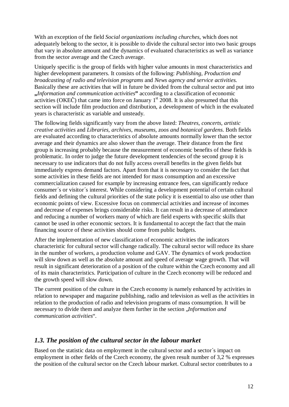With an exception of the field *Social organizations including churches*, which does not adequately belong to the sector, it is possible to divide the cultural sector into two basic groups that vary in absolute amount and the dynamics of evaluated characteristics as well as variance from the sector average and the Czech average.

Uniquely specific is the group of fields with higher value amounts in most characteristics and higher development parameters. It consists of the following: *Publishing, Production and broadcasting of radio and television programs* and *News agency and service activities.*  Basically these are activities that will in future be divided from the cultural sector and put into **"***Information and communication activities***"** according to a classification of economic activities (OKEČ) that came into force on January  $1<sup>st</sup>$  2008. It is also presumed that this section will include film production and distribution, a development of which in the evaluated years is characteristic as variable and unsteady.

The following fields significantly vary from the above listed: *Theatres, concerts, artistic creative activities* and *Libraries, archives, museums, zoos and botanical gardens*. Both fields are evaluated according to characteristics of absolute amounts normally lower than the sector average and their dynamics are also slower than the average. Their distance from the first group is increasing probably because the measurement of economic benefits of these fields is problematic. In order to judge the future development tendencies of the second group it is necessary to use indicators that do not fully access overall benefits in the given fields but immediately express demand factors. Apart from that it is necessary to consider the fact that some activities in these fields are not intended for mass consumption and an excessive commercialization caused for example by increasing entrance fees, can significantly reduce consumer´s or visitor´s interest. While considering a development potential of certain cultural fields and defining the cultural priorities of the state policy it is essential to also use other than economic points of view. Excessive focus on commercial activities and increase of incomes and decrease of expenses brings considerable risks. It can result in a decrease of attendance and reducing a number of workers many of which are field experts with specific skills that cannot be used in other economic sectors. It is fundamental to accept the fact that the main financing source of these activities should come from public budgets.

After the implementation of new classification of economic activities the indicators characteristic for cultural sector will change radically. The cultural sector will reduce its share in the number of workers, a production volume and GAV. The dynamics of work production will slow down as well as the absolute amount and speed of average wage growth. That will result in significant deterioration of a position of the culture within the Czech economy and all of its main characteristics. Participation of culture in the Czech economy will be reduced and the growth speed will slow down.

The current position of the culture in the Czech economy is namely enhanced by activities in relation to newspaper and magazine publishing, radio and television as well as the activities in relation to the production of radio and television programs of mass consumption. It will be necessary to divide them and analyze them further in the section "*Information and communication activities*".

## *1.3. The position of the cultural sector in the labour market*

Based on the statistic data on employment in the cultural sector and a sector´s impact on employment in other fields of the Czech economy, the given result number of 3,2 % expresses the position of the cultural sector on the Czech labour market. Cultural sector contributes to a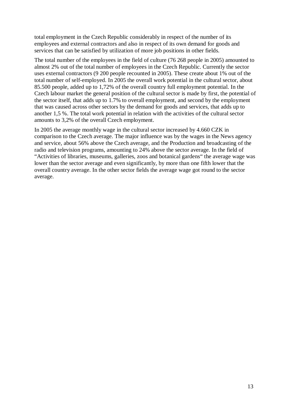total employment in the Czech Republic considerably in respect of the number of its employees and external contractors and also in respect of its own demand for goods and services that can be satisfied by utilization of more job positions in other fields.

The total number of the employees in the field of culture (76 268 people in 2005) amounted to almost 2% out of the total number of employees in the Czech Republic. Currently the sector uses external contractors (9 200 people recounted in 2005). These create about 1% out of the total number of self-employed. In 2005 the overall work potential in the cultural sector, about 85.500 people, added up to 1,72% of the overall country full employment potential. In the Czech labour market the general position of the cultural sector is made by first, the potential of the sector itself, that adds up to 1.7% to overall employment, and second by the employment that was caused across other sectors by the demand for goods and services, that adds up to another 1,5 %. The total work potential in relation with the activities of the cultural sector amounts to 3,2% of the overall Czech employment.

In 2005 the average monthly wage in the cultural sector increased by 4.660 CZK in comparison to the Czech average. The major influence was by the wages in the News agency and service, about 56% above the Czech average, and the Production and broadcasting of the radio and television programs, amounting to 24% above the sector average. In the field of "Activities of libraries, museums, galleries, zoos and botanical gardens" the average wage was lower than the sector average and even significantly, by more than one fifth lower that the overall country average. In the other sector fields the average wage got round to the sector average.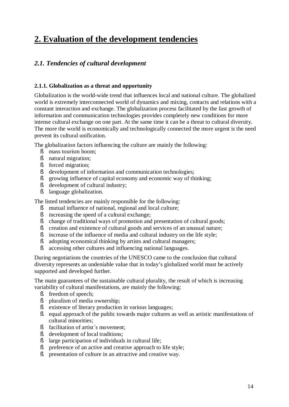## **2. Evaluation of the development tendencies**

## *2.1. Tendencies of cultural development*

## **2.1.1. Globalization as a threat and opportunity**

Globalization is the world-wide trend that influences local and national culture. The globalized world is extremely interconnected world of dynamics and mixing, contacts and relations with a constant interaction and exchange. The globalization process facilitated by the fast growth of information and communication technologies provides completely new conditions for more intense cultural exchange on one part. At the same time it can be a threat to cultural diversity. The more the world is economically and technologically connected the more urgent is the need prevent its cultural unification.

The globalization factors influencing the culture are mainly the following:

- § mass tourism boom;
- § natural migration;
- § forced migration;
- § development of information and communication technologies;
- § growing influence of capital economy and economic way of thinking;
- § development of cultural industry;
- § language globalization.

The listed tendencies are mainly responsible for the following:

- § mutual influence of national, regional and local culture;
- § increasing the speed of a cultural exchange;
- § change of traditional ways of promotion and presentation of cultural goods;
- § creation and existence of cultural goods and services of an unusual nature;
- § increase of the influence of media and cultural industry on the life style;
- § adopting economical thinking by artists and cultural managers;
- § accessing other cultures and influencing national languages.

During negotiations the countries of the UNESCO came to the conclusion that cultural diversity represents an undeniable value that in today's globalized world must be actively supported and developed further.

The main guarantees of the sustainable cultural plurality, the result of which is increasing variability of cultural manifestations, are mainly the following:

- § freedom of speech;
- § pluralism of media ownership;
- § existence of literary production in various languages;
- § equal approach of the public towards major cultures as well as artistic manifestations of cultural minorities;
- § facilitation of artist´s movement;
- § development of local traditions;
- § large participation of individuals in cultural life;
- § preference of an active and creative approach to life style;
- § presentation of culture in an attractive and creative way.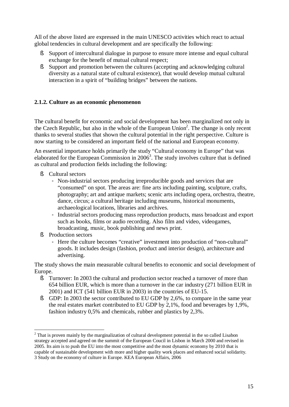All of the above listed are expressed in the main UNESCO activities which react to actual global tendencies in cultural development and are specifically the following:

- § Support of intercultural dialogue in purpose to ensure more intense and equal cultural exchange for the benefit of mutual cultural respect;
- § Support and promotion between the cultures (accepting and acknowledging cultural diversity as a natural state of cultural existence), that would develop mutual cultural interaction in a spirit of "building bridges" between the nations.

## **2.1.2. Culture as an economic phenomenon**

The cultural benefit for economic and social development has been marginalized not only in the Czech Republic, but also in the whole of the European Union 2 . The change is only recent thanks to several studies that shown the cultural potential in the right perspective. Culture is now starting to be considered an important field of the national and European economy.

An essential importance holds primarily the study "Cultural economy in Europe" that was elaborated for the European Commission in  $2006<sup>3</sup>$ . The study involves culture that is defined as cultural and production fields including the following:

- § Cultural sectors
	- Non-industrial sectors producing irreproducible goods and services that are "consumed" on spot. The areas are: fine arts including painting, sculpture, crafts, photography; art and antique markets; scenic arts including opera, orchestra, theatre, dance, circus; a cultural heritage including museums, historical monuments, archaeological locations, libraries and archives.
	- Industrial sectors producing mass reproduction products, mass broadcast and export such as books, films or audio recording. Also film and video, videogames, broadcasting, music, book publishing and news print.
- § Production sectors

 $\overline{a}$ 

- Here the culture becomes "creative" investment into production of "non-cultural" goods. It includes design (fashion, product and interior design), architecture and advertising.

The study shows the main measurable cultural benefits to economic and social development of Europe.

- § Turnover: In 2003 the cultural and production sector reached a turnover of more than 654 billion EUR, which is more than a turnover in the car industry (271 billion EUR in 2001) and ICT (541 billion EUR in 2003) in the countries of EU-15.
- § GDP: In 2003 the sector contributed to EU GDP by 2,6%, to compare in the same year the real estates market contributed to EU GDP by 2,1%, food and beverages by 1,9%, fashion industry 0,5% and chemicals, rubber and plastics by 2,3%.

 $2$  That is proven mainly by the marginalization of cultural development potential in the so called Lisabon strategy accepted and agreed on the summit of the European Coucil in Lisbon in March 2000 and revised in 2005. Its aim is to push the EU into the most competitive and the most dynamic economy by 2010 that is capable of sustainable development with more and higher quality work places and enhanced social solidarity. 3 Study on the economy of culture in Europe. KEA European Affairs, 2006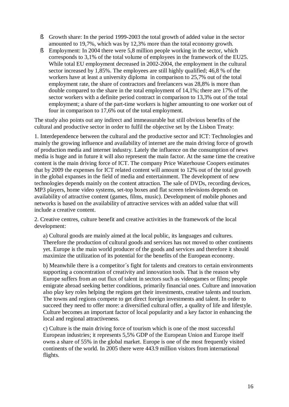- § Growth share: In the period 1999-2003 the total growth of added value in the sector amounted to 19,7%, which was by 12,3% more than the total economy growth.
- § Employment: In 2004 there were 5,8 million people working in the sector, which corresponds to 3,1% of the total volume of employees in the framework of the EU25. While total EU employment decreased in 2002-2004, the employment in the cultural sector increased by 1,85%. The employees are still highly qualified; 46,8 % of the workers have at least a university diploma in comparison to 25,7% out of the total employment rate, the share of contractors and freelancers was 28,8% is more than double compared to the share in the total employment of 14,1%; there are 17% of the sector workers with a definite period contract in comparison to 13,3% out of the total employment; a share of the part-time workers is higher amounting to one worker out of four in comparison to 17,6% out of the total employment.

The study also points out any indirect and immeasurable but still obvious benefits of the cultural and productive sector in order to fulfil the objective set by the Lisbon Treaty:

1. Interdependence between the cultural and the productive sector and ICT: Technologies and mainly the growing influence and availability of internet are the main driving force of growth of production media and internet industry. Lately the influence on the consumption of news media is huge and in future it will also represent the main factor. At the same time the creative content is the main driving force of ICT. The company Price Waterhouse Coopers estimates that by 2009 the expenses for ICT related content will amount to 12% out of the total growth in the global expanses in the field of media and entertainment. The development of new technologies depends mainly on the content attraction. The sale of DVDs, recording devices, MP3 players, home video systems, set-top boxes and flat screen televisions depends on availability of attractive content (games, films, music). Development of mobile phones and networks is based on the availability of attractive services with an added value that will include a creative content.

2. Creative centres, culture benefit and creative activities in the framework of the local development:

a) Cultural goods are mainly aimed at the local public, its languages and cultures. Therefore the production of cultural goods and services has not moved to other continents yet. Europe is the main world producer of the goods and services and therefore it should maximize the utilization of its potential for the benefits of the European economy.

b) Meanwhile there is a competitor´s fight for talents and creators to certain environments supporting a concentration of creativity and innovation tools. That is the reason why Europe suffers from an out flux of talent in sectors such as videogames or films; people emigrate abroad seeking better conditions, primarily financial ones. Culture and innovation also play key roles helping the regions get their investments, creative talents and tourism. The towns and regions compete to get direct foreign investments and talent. In order to succeed they need to offer more: a diversified cultural offer, a quality of life and lifestyle. Culture becomes an important factor of local popularity and a key factor in enhancing the local and regional attractiveness.

c) Culture is the main driving force of tourism which is one of the most successful European industries; it represents 5,5% GDP of the European Union and Europe itself owns a share of 55% in the global market. Europe is one of the most frequently visited continents of the world. In 2005 there were 443.9 million visitors from international flights.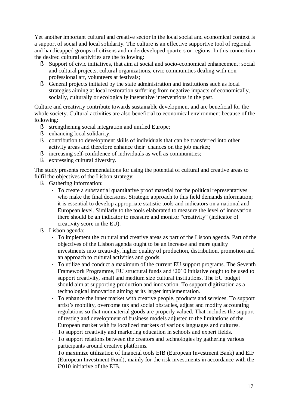Yet another important cultural and creative sector in the local social and economical context is a support of social and local solidarity. The culture is an effective supportive tool of regional and handicapped groups of citizens and underdeveloped quarters or regions. In this connection the desired cultural activities are the following:

- § Support of civic initiatives, that aim at social and socio-economical enhancement: social and cultural projects, cultural organizations, civic communities dealing with nonprofessional art, volunteers at festivals;
- § General projects initiated by the state administration and institutions such as local strategies aiming at local restoration suffering from negative impacts of economically, socially, culturally or ecologically insensitive interventions in the past.

Culture and creativity contribute towards sustainable development and are beneficial for the whole society. Cultural activities are also beneficial to economical environment because of the following:

- § strengthening social integration and unified Europe;
- § enhancing local solidarity;
- § contribution to development skills of individuals that can be transferred into other activity areas and therefore enhance their chances on the job market;
- § increasing self-confidence of individuals as well as communities;
- § expressing cultural diversity.

The study presents recommendations for using the potential of cultural and creative areas to fulfil the objectives of the Lisbon strategy:

- § Gathering information:
	- To create a substantial quantitative proof material for the political representatives who make the final decisions. Strategic approach to this field demands information; it is essential to develop appropriate statistic tools and indicators on a national and European level. Similarly to the tools elaborated to measure the level of innovation there should be an indicator to measure and monitor "creativity" (indicator of creativity score in the EU).
- § Lisbon agenda:
	- To implement the cultural and creative areas as part of the Lisbon agenda. Part of the objectives of the Lisbon agenda ought to be an increase and more quality investments into creativity, higher quality of production, distribution, promotion and an approach to cultural activities and goods.
	- To utilize and conduct a maximum of the current EU support programs. The Seventh Framework Programme, EU structural funds and i2010 initiative ought to be used to support creativity, small and medium size cultural institutions. The EU budget should aim at supporting production and innovation. To support digitization as a technological innovation aiming at its larger implementation.
	- To enhance the inner market with creative people, products and services. To support artist's mobility, overcome tax and social obstacles, adjust and modify accounting regulations so that nonmaterial goods are properly valued. That includes the support of testing and development of business models adjusted to the limitations of the European market with its localized markets of various languages and cultures.
	- To support creativity and marketing education in schools and expert fields.
	- To support relations between the creators and technologies by gathering various participants around creative platforms.
	- To maximize utilization of financial tools EIB (European Investment Bank) and EIF (European Investment Fund), mainly for the risk investments in accordance with the i2010 initiative of the EIB.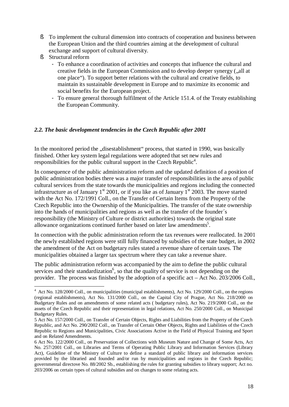- § To implement the cultural dimension into contracts of cooperation and business between the European Union and the third countries aiming at the development of cultural exchange and support of cultural diversity.
- § Structural reform

 $\overline{a}$ 

- To enhance a coordination of activities and concepts that influence the cultural and creative fields in the European Commission and to develop deeper synergy ("all at one place"). To support better relations with the cultural and creative fields, to maintain its sustainable development in Europe and to maximize its economic and social benefits for the European project.
- To ensure general thorough fulfilment of the Article 151.4. of the Treaty establishing the European Community.

## *2.2. The basic development tendencies in the Czech Republic after 2001*

In the monitored period the "disestablishment" process, that started in 1990, was basically finished. Other key system legal regulations were adopted that set new rules and responsibilities for the public cultural support in the Czech Republic<sup>4</sup>.

In consequence of the public administration reform and the updated definition of a position of public administration bodies there was a major transfer of responsibilities in the area of public cultural services from the state towards the municipalities and regions including the connected infrastructure as of January  $1<sup>st</sup> 2001$ , or if you like as of January  $1<sup>st</sup> 2003$ . The move started with the Act No. 172/1991 Coll., on the Transfer of Certain Items from the Property of the Czech Republic into the Ownership of the Municipalities. The transfer of the state ownership into the hands of municipalities and regions as well as the transfer of the founder´s responsibility (the Ministry of Culture or district authorities) towards the original state allowance organizations continued further based on later law amendments<sup>5</sup>.

In connection with the public administration reform the tax revenues were reallocated. In 2001 the newly established regions were still fully financed by subsidies of the state budget, in 2002 the amendment of the Act on budgetary rules stated a revenue share of certain taxes. The municipalities obtained a larger tax spectrum where they can take a revenue share.

The public administration reform was accompanied by the aim to define the public cultural services and their standardization<sup>6</sup>, so that the quality of service is not depending on the provider. The process was finished by the adoption of a specific act – Act No. 203/2006 Coll.,

 $4$  Act No. 128/2000 Coll., on municipalities (municipal establishments), Act No. 129/2000 Coll., on the regions (regional establishments), Act No. 131/2000 Coll., on the Capital City of Prague, Act No. 218/2000 on Budgetary Rules and on amendments of some related acts ( budgetary rules), Act No. 219/2000 Coll., on the assets of the Czech Republic and their representation in legal relations, Act No. 250/2000 Coll., on Municipal Budgetary Rules.

<sup>5</sup> Act No. 157/2000 Coll., on Transfer of Certain Objects, Rights and Liabilities from the Property of the Czech Republic, and Act No. 290/2002 Coll., on Transfer of Certain Other Objects, Rights and Liabilities of the Czech Republic to Regions and Municipalities, Civic Associations Active in the Field of Physical Training and Sport and on Related Amendments.

<sup>6</sup> Act No. 122/2000 Coll., on Preservation of Collections with Museum Nature and Change of Some Acts, Act No. 257/2001 Coll., on Libraries and Terms of Operating Public Library and Information Services (Library Act), Guideline of the Ministry of Culture to define a standard of public library and information services provided by the libraried and founded and/or run by municipalities and regions in the Czech Republic; governmental directove No. 88/2002 Sb., establishing the rules for granting subsidies to library support; Act no. 203/2006 on certain types of cultural subsidies and on changes to some relating acts.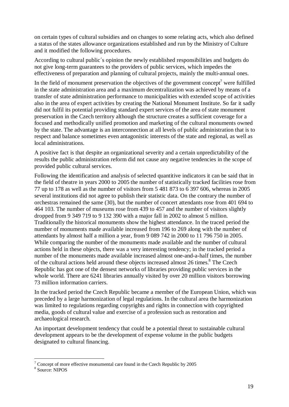on certain types of cultural subsidies and on changes to some relating acts, which also defined a status of the states allowance organizations established and run by the Ministry of Culture and it modified the following procedures.

According to cultural public´s opinion the newly established responsibilities and budgets do not give long-term guarantees to the providers of public services, which impedes the effectiveness of preparation and planning of cultural projects, mainly the multi-annual ones.

In the field of monument preservation the objectives of the government concept<sup>7</sup> were fulfilled in the state administration area and a maximum decentralization was achieved by means of a transfer of state administration performance to municipalities with extended scope of activities also in the area of expert activities by creating the National Monument Institute. So far it sadly did not fulfil its potential providing standard expert services of the area of state monument preservation in the Czech territory although the structure creates a sufficient coverage for a focused and methodically unified promotion and marketing of the cultural monuments owned by the state. The advantage is an interconnection at all levels of public administration that is to respect and balance sometimes even antagonistic interests of the state and regional, as well as local administrations.

A positive fact is that despite an organizational severity and a certain unpredictability of the results the public administration reform did not cause any negative tendencies in the scope of provided public cultural services.

Following the identification and analysis of selected quantitive indicators it can be said that in the field of theatre in years 2000 to 2005 the number of statistically tracked facilities rose from 77 up to 178 as well as the number of visitors from 5 481 873 to 6 397 606, whereas in 2005 several institutions did not agree to publish their statistic data. On the contrary the number of orchestras remained the same (30), but the number of concert attendants rose from 401 694 to 464 103. The number of museums rose from 439 to 457 and the number of visitors slightly dropped from 9 349 719 to 9 132 390 with a major fall in 2002 to almost 5 million. Traditionally the historical monuments show the highest attendance. In the traced period the number of monuments made available increased from 196 to 269 along with the number of attendants by almost half a million a year, from 9 089 742 in 2000 to 11 796 750 in 2005. While comparing the number of the monuments made available and the number of cultural actions held in these objects, there was a very interesting tendency; in the tracked period a number of the monuments made available increased almost one-and-a-half times, the number of the cultural actions held around these objects increased almost 26 times.<sup>8</sup> The Czech Republic has got one of the densest networks of libraries providing public services in the whole world. There are 6241 libraries annually visited by over 20 million visitors borrowing 73 million information carriers.

In the tracked period the Czech Republic became a member of the European Union, which was preceded by a large harmonization of legal regulations. In the cultural area the harmonization was limited to regulations regarding copyrights and rights in connection with copyrighted media, goods of cultural value and exercise of a profession such as restoration and archaeological research.

An important development tendency that could be a potential threat to sustainable cultural development appears to be the development of expense volume in the public budgets designated to cultural financing.

 $\overline{a}$ 

 $7$  Concept of more effective monumental care found in the Czech Republic by 2005

<sup>8</sup> Source: NIPOS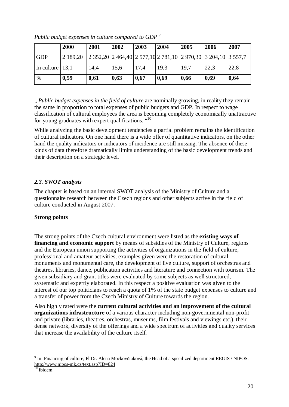|                     | 2000     | 2001 | 2002 | 2003 | 2004 | 2005                                                          | 2006 | 2007 |
|---------------------|----------|------|------|------|------|---------------------------------------------------------------|------|------|
| <b>GDP</b>          | 2 189.20 |      |      |      |      | 2 352,20 2 464,40 2 577,10 2 781,10 2 970,30 3 204,10 3 557,7 |      |      |
| In culture $ 13,1 $ |          | 14,4 | 15,6 | 17.4 | 19.3 | 19,7                                                          | 22,3 | 22,8 |
| $\frac{6}{9}$       | 0,59     | 0,61 | 0,63 | 0,67 | 0.69 | 0,66                                                          | 0,69 | 0,64 |

*Public budget expenses in culture compared to GDP <sup>9</sup>*

" *Public budget expenses in the field of culture* are nominally growing, in reality they remain the same in proportion to total expenses of public budgets and GDP. In respect to wage classification of cultural employees the area is becoming completely economically unattractive for young graduates with expert qualifications. "<sup>10</sup>

While analyzing the basic development tendencies a partial problem remains the identification of cultural indicators. On one hand there is a wide offer of quantitative indicators, on the other hand the quality indicators or indicators of incidence are still missing. The absence of these kinds of data therefore dramatically limits understanding of the basic development trends and their description on a strategic level.

## *2.3. SWOT analysis*

The chapter is based on an internal SWOT analysis of the Ministry of Culture and a questionnaire research between the Czech regions and other subjects active in the field of culture conducted in August 2007.

## **Strong points**

The strong points of the Czech cultural environment were listed as the **existing ways of financing and economic support** by means of subsidies of the Ministry of Culture, regions and the European union supporting the activities of organizations in the field of culture, professional and amateur activities, examples given were the restoration of cultural monuments and monumental care, the development of live culture, support of orchestras and theatres, libraries, dance, publication activities and literature and connection with tourism. The given subsidiary and grant titles were evaluated by some subjects as well structured, systematic and expertly elaborated. In this respect a positive evaluation was given to the interest of our top politicians to reach a quota of 1% of the state budget expenses to culture and a transfer of power from the Czech Ministry of Culture towards the region.

Also highly rated were the **current cultural activities and an improvement of the cultural organizations infrastructure** of a various character including non-governmental non-profit and private (libraries, theatres, orchestras, museums, film festivals and viewings etc.), their dense network, diversity of the offerings and a wide spectrum of activities and quality services that increase the availability of the culture itself.

 $\overline{a}$  $9 \text{ In:}$  Financing of culture, PhDr. Alena Mockovčiaková, the Head of a specilized department REGIS / NIPOS. <http://www.nipos-mk.cz/text.asp?ID=824>

ibidem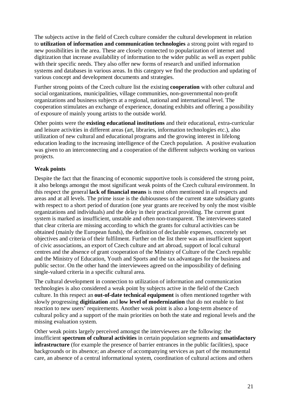The subjects active in the field of Czech culture consider the cultural development in relation to **utilization of information and communication technologies** a strong point with regard to new possibilities in the area. These are closely connected to popularization of internet and digitization that increase availability of information to the wider public as well as expert public with their specific needs. They also offer new forms of research and unified information systems and databases in various areas. In this category we find the production and updating of various concept and development documents and strategies.

Further strong points of the Czech culture list the existing **cooperation** with other cultural and social organizations, municipalities, village communities, non-governmental non-profit organizations and business subjects at a regional, national and international level. The cooperation stimulates an exchange of experience, donating exhibits and offering a possibility of exposure of mainly young artists to the outside world.

Other points were the **existing educational institutions** and their educational, extra-curricular and leisure activities in different areas (art, libraries, information technologies etc.), also utilization of new cultural and educational programs and the growing interest in lifelong education leading to the increasing intelligence of the Czech population. A positive evaluation was given to an interconnecting and a cooperation of the different subjects working on various projects.

## **Weak points**

Despite the fact that the financing of economic supportive tools is considered the strong point, it also belongs amongst the most significant weak points of the Czech cultural environment. In this respect the general **lack of financial means** is most often mentioned in all respects and areas and at all levels. The prime issue is the dubiousness of the current state subsidiary grants with respect to a short period of duration (one year grants are received by only the most visible organizations and individuals) and the delay in their practical providing. The current grant system is marked as insufficient, unstable and often non-transparent. The interviewees stated that clear criteria are missing according to which the grants for cultural activities can be obtained (mainly the European funds), the definition of declarable expenses, concretely set objectives and criteria of their fulfilment. Further on the list there was an insufficient support of civic associations, an export of Czech culture and art abroad, support of local cultural centres and the absence of grant cooperation of the Ministry of Culture of the Czech republic and the Ministry of Education, Youth and Sports and the tax advantages for the business and public sector. On the other hand the interviewees agreed on the impossibility of defining single-valued criteria in a specific cultural area.

The cultural development in connection to utilization of information and communication technologies is also considered a weak point by subjects active in the field of the Czech culture. In this respect an **out-of-date technical equipment** is often mentioned together with slowly progressing **digitization** and **low level of modernization** that do not enable to fast reaction to new users' requirements. Another weak point is also a long-term absence of cultural policy and a support of the main priorities on both the state and regional levels and the missing evaluation system.

Other weak points largely perceived amongst the interviewees are the following: the insufficient **spectrum of cultural activities** in certain population segments and **unsatisfactory infrastructure** (for example the presence of barrier entrances in the public facilities), space backgrounds or its absence; an absence of accompanying services as part of the monumental care, an absence of a central informational system, coordination of cultural actions and others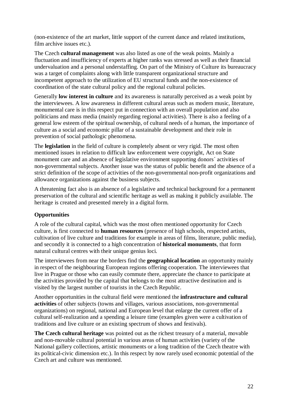(non-existence of the art market, little support of the current dance and related institutions, film archive issues etc.).

The Czech **cultural management** was also listed as one of the weak points. Mainly a fluctuation and insufficiency of experts at higher ranks was stressed as well as their financial undervaluation and a personal understaffing. On part of the Ministry of Culture its bureaucracy was a target of complaints along with little transparent organizational structure and incompetent approach to the utilization of EU structural funds and the non-existence of coordination of the state cultural policy and the regional cultural policies.

Generally **low interest in culture** and its awareness is naturally perceived as a weak point by the interviewees. A low awareness in different cultural areas such as modern music, literature, monumental care is in this respect put in connection with an overall population and also politicians and mass media (mainly regarding regional activities). There is also a feeling of a general low esteem of the spiritual ownership, of cultural needs of a human, the importance of culture as a social and economic pillar of a sustainable development and their role in prevention of social pathologic phenomena.

The **legislation** in the field of culture is completely absent or very rigid. The most often mentioned issues in relation to difficult law enforcement were copyright, Act on State monument care and an absence of legislative environment supporting donors´ activities of non-governmental subjects. Another issue was the status of public benefit and the absence of a strict definition of the scope of activities of the non-governmental non-profit organizations and allowance organizations against the business subjects.

A threatening fact also is an absence of a legislative and technical background for a permanent preservation of the cultural and scientific heritage as well as making it publicly available. The heritage is created and presented merely in a digital form.

## **Opportunities**

A role of the cultural capital, which was the most often mentioned opportunity for Czech culture, is first connected to **human resources** (presence of high schools, respected artists, cultivation of live culture and traditions for example in areas of films, literature, public media), and secondly it is connected to a high concentration of **historical monuments**, that form natural cultural centres with their unique genius loci.

The interviewees from near the borders find the **geographical location** an opportunity mainly in respect of the neighbouring European regions offering cooperation. The interviewees that live in Prague or those who can easily commute there, appreciate the chance to participate at the activities provided by the capital that belongs to the most attractive destination and is visited by the largest number of tourists in the Czech Republic.

Another opportunities in the cultural field were mentioned the **infrastructure and cultural activities** of other subjects (towns and villages, various associations, non-governmental organizations) on regional, national and European level that enlarge the current offer of a cultural self-realization and a spending a leisure time (examples given were a cultivation of traditions and live culture or an existing spectrum of shows and festivals).

**The Czech cultural heritage** was pointed out as the richest treasury of a material, movable and non-movable cultural potential in various areas of human activities (variety of the National gallery collections, artistic monuments or a long tradition of the Czech theatre with its political-civic dimension etc.). In this respect by now rarely used economic potential of the Czech art and culture was mentioned.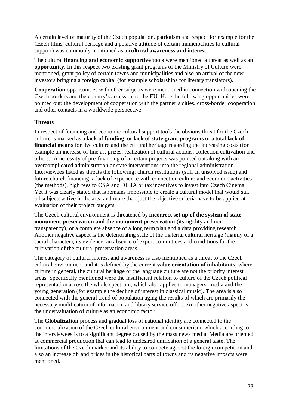A certain level of maturity of the Czech population, patriotism and respect for example for the Czech films, cultural heritage and a positive attitude of certain municipalities to cultural support) was commonly mentioned as a **cultural awareness and interest**.

The cultural **financing and economic supportive tools** were mentioned a threat as well as an **opportunity**. In this respect two existing grant programs of the Ministry of Culture were mentioned, grant policy of certain towns and municipalities and also an arrival of the new investors bringing a foreign capital (for example scholarships for literary translators).

**Cooperation** opportunities with other subjects were mentioned in connection with opening the Czech borders and the country's accession to the EU. Here the following opportunities were pointed out: the development of cooperation with the partner´s cities, cross-border cooperation and other contacts in a worldwide perspective.

## **Threats**

In respect of financing and economic cultural support tools the obvious threat for the Czech culture is marked as a **lack of funding**, or **lack of state grant programs** or a total **lack of financial means** for live culture and the cultural heritage regarding the increasing costs (for example an increase of fine art prizes, realization of cultural actions, collection cultivation and others). A necessity of pre-financing of a certain projects was pointed out along with an overcomplicated administration or state interventions into the regional administration. Interviewees listed as threats the following: church restitutions (still an unsolved issue) and future church financing, a lack of experience with connection culture and economic activities (the methods), high fees to OSA and DILIA or tax incentives to invest into Czech Cinema. Yet it was clearly stated that is remains impossible to create a cultural model that would suit all subjects active in the area and more than just the objective criteria have to be applied at evaluation of their project budgets.

The Czech cultural environment is threatened by **incorrect set up of the system of state monument preservation and the monument preservation** (its rigidity and nontransparency), or a complete absence of a long term plan and a data providing research. Another negative aspect is the deteriorating state of the material cultural heritage (mainly of a sacral character), its evidence, an absence of expert committees and conditions for the cultivation of the cultural preservation areas.

The category of cultural interest and awareness is also mentioned as a threat to the Czech cultural environment and it is defined by the current **value orientation of inhabitants**, where culture in general, the cultural heritage or the language culture are not the priority interest areas. Specifically mentioned were the insufficient relation to culture of the Czech political representation across the whole spectrum, which also applies to managers, media and the young generation (for example the decline of interest in classical music). The area is also connected with the general trend of population aging the results of which are primarily the necessary modification of information and library service offers. Another negative aspect is the undervaluation of culture as an economic factor.

The **Globalization** process and gradual loss of national identity are connected to the commercialization of the Czech cultural environment and consumerism, which according to the interviewees is to a significant degree caused by the mass news media. Media are oriented at commercial production that can lead to undesired unification of a general taste. The limitations of the Czech market and its ability to compete against the foreign competition and also an increase of land prices in the historical parts of towns and its negative impacts were mentioned.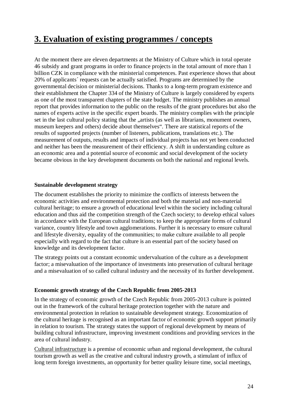## **3. Evaluation of existing programmes / concepts**

At the moment there are eleven departments at the Ministry of Culture which in total operate 46 subsidy and grant programs in order to finance projects in the total amount of more than 1 billion CZK in compliance with the ministerial competences. Past experience shows that about 20% of applicants´ requests can be actually satisfied. Programs are determined by the governmental decision or ministerial decisions. Thanks to a long-term program existence and their establishment the Chapter 334 of the Ministry of Culture is largely considered by experts as one of the most transparent chapters of the state budget. The ministry publishes an annual report that provides information to the public on the results of the grant procedures but also the names of experts active in the specific expert boards. The ministry complies with the principle set in the last cultural policy stating that the "artists (as well as librarians, monument owners, museum keepers and others) decide about themselves". There are statistical reports of the results of supported projects (number of listeners, publications, translations etc.). The measurement of outputs, results and impacts of individual projects has not yet been conducted and neither has been the measurement of their efficiency. A shift in understanding culture as an economic area and a potential source of economic and social development of the society became obvious in the key development documents on both the national and regional levels.

## **Sustainable development strategy**

The document establishes the priority to minimize the conflicts of interests between the economic activities and environmental protection and both the material and non-material cultural heritage; to ensure a growth of educational level within the society including cultural education and thus aid the competition strength of the Czech society; to develop ethical values in accordance with the European cultural traditions; to keep the appropriate forms of cultural variance, country lifestyle and town agglomerations. Further it is necessary to ensure cultural and lifestyle diversity, equality of the communities; to make culture available to all people especially with regard to the fact that culture is an essential part of the society based on knowledge and its development factor.

The strategy points out a constant economic undervaluation of the culture as a development factor; a misevaluation of the importance of investments into preservation of cultural heritage and a misevaluation of so called cultural industry and the necessity of its further development.

## **Economic growth strategy of the Czech Republic from 2005-2013**

In the strategy of economic growth of the Czech Republic from 2005-2013 culture is pointed out in the framework of the cultural heritage protection together with the nature and environmental protection in relation to sustainable development strategy. Economization of the cultural heritage is recognised as an important factor of economic growth support primarily in relation to tourism. The strategy states the support of regional development by means of building cultural infrastructure, improving investment conditions and providing services in the area of cultural industry.

Cultural infrastructure is a premise of economic urban and regional development, the cultural tourism growth as well as the creative and cultural industry growth, a stimulant of influx of long term foreign investments, an opportunity for better quality leisure time, social meetings,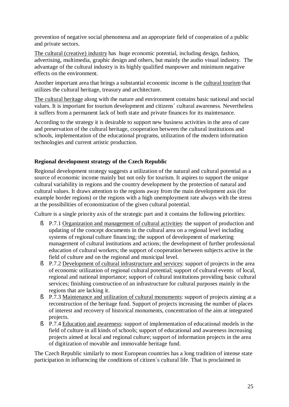prevention of negative social phenomena and an appropriate field of cooperation of a public and private sectors.

The cultural (creative) industry has huge economic potential, including design, fashion, advertising, multimedia, graphic design and others, but mainly the audio visual industry. The advantage of the cultural industry is its highly qualified manpower and minimum negative effects on the environment.

Another important area that brings a substantial economic income is the cultural tourism that utilizes the cultural heritage, treasury and architecture.

The cultural heritage along with the nature and environment contains basic national and social values. It is important for tourism development and citizens´ cultural awareness. Nevertheless it suffers from a permanent lack of both state and private finances for its maintenance.

According to the strategy it is desirable to support new business activities in the area of care and preservation of the cultural heritage, cooperation between the cultural institutions and schools, implementation of the educational programs, utilization of the modern information technologies and current artistic production.

## **Regional development strategy of the Czech Republic**

Regional development strategy suggests a utilization of the natural and cultural potential as a source of economic income mainly but not only for tourism. It aspires to support the unique cultural variability in regions and the country development by the protection of natural and cultural values. It draws attention to the regions away from the main development axis (for example border regions) or the regions with a high unemployment rate always with the stress at the possibilities of economization of the given cultural potential.

Culture is a single priority axis of the strategic part and it contains the following priorities:

- § P.7.1 Organization and management of cultural activities: the support of production and updating of the concept documents in the cultural area on a regional level including systems of regional culture financing; the support of development of marketing management of cultural institutions and actions; the development of further professional education of cultural workers; the support of cooperation between subjects active in the field of culture and on the regional and municipal level.
- § P.7.2 Development of cultural infrastructure and services: support of projects in the area of economic utilization of regional cultural potential; support of cultural events of local, regional and national importance; support of cultural institutions providing basic cultural services; finishing construction of an infrastructure for cultural purposes mainly in the regions that are lacking it.
- § P.7.3 Maintenance and utilization of cultural monuments: support of projects aiming at a reconstruction of the heritage fund. Support of projects increasing the number of places of interest and recovery of historical monuments, concentration of the aim at integrated projects.
- § P.7.4 Education and awareness: support of implementation of educational models in the field of culture in all kinds of schools; support of educational and awareness increasing projects aimed at local and regional culture; support of information projects in the area of digitization of movable and immovable heritage fund.

The Czech Republic similarly to most European countries has a long tradition of intense state participation in influencing the conditions of citizen´s cultural life. That is proclaimed in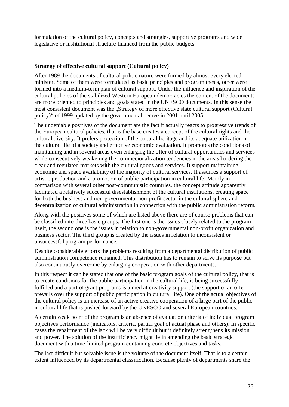formulation of the cultural policy, concepts and strategies, supportive programs and wide legislative or institutional structure financed from the public budgets.

## **Strategy of effective cultural support (Cultural policy)**

After 1989 the documents of cultural-politic nature were formed by almost every elected minister. Some of them were formulated as basic principles and program thesis, other were formed into a medium-term plan of cultural support. Under the influence and inspiration of the cultural policies of the stabilized Western European democracies the content of the documents are more oriented to principles and goals stated in the UNESCO documents. In this sense the most consistent document was the "Strategy of more effective state cultural support (Cultural policy)" of 1999 updated by the governmental decree in 2001 until 2005.

The undeniable positives of the document are the fact it actually reacts to progressive trends of the European cultural policies, that is the base creates a concept of the cultural rights and the cultural diversity. It prefers protection of the cultural heritage and its adequate utilization in the cultural life of a society and effective economic evaluation. It promotes the conditions of maintaining and in several areas even enlarging the offer of cultural opportunities and services while consecutively weakening the commecionalization tendencies in the areas bordering the clear and regulated markets with the cultural goods and services. It support maintaining economic and space availability of the majority of cultural services. It assumes a support of artistic production and a promotion of public participation in cultural life. Mainly in comparison with several other post-communistic countries, the concept attitude apparently facilitated a relatively successful disestablishment of the cultural institutions, creating space for both the business and non-governmental non-profit sector in the cultural sphere and decentralization of cultural administration in connection with the public administration reform.

Along with the positives some of which are listed above there are of course problems that can be classified into three basic groups. The first one is the issues closely related to the program itself, the second one is the issues in relation to non-governmental non-profit organization and business sector. The third group is created by the issues in relation to inconsistent or unsuccessful program performance.

Despite considerable efforts the problems resulting from a departmental distribution of public administration competence remained. This distribution has to remain to serve its purpose but also continuously overcome by enlarging cooperation with other departments.

In this respect it can be stated that one of the basic program goals of the cultural policy, that is to create conditions for the public participation in the cultural life, is being successfully fulfilled and a part of grant programs is aimed at creativity support (the support of an offer prevails over the support of public participation in cultural life). One of the actual objectives of the cultural policy is an increase of an active creative cooperation of a large part of the public in cultural life that is pushed forward by the UNESCO and several European countries.

A certain weak point of the program is an absence of evaluation criteria of individual program objectives performance (indicators, criteria, partial goal of actual phase and others). In specific cases the repairment of the lack will be very difficult but it definitely strengthens its mission and power. The solution of the insufficiency might lie in amending the basic strategic document with a time-limited program containing concrete objectives and tasks.

The last difficult but solvable issue is the volume of the document itself. That is to a certain extent influenced by its departmental classification. Because plenty of departments share the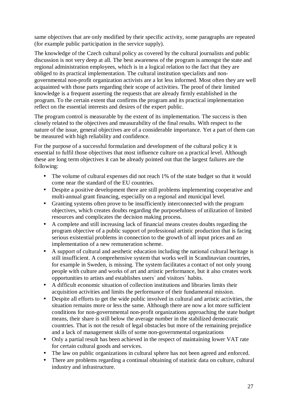same objectives that are only modified by their specific activity, some paragraphs are repeated (for example public participation in the service supply).

The knowledge of the Czech cultural policy as covered by the cultural journalists and public discussion is not very deep at all. The best awareness of the program is amongst the state and regional administration employees, which is in a logical relation to the fact that they are obliged to its practical implementation. The cultural institution specialists and nongovernmental non-profit organization activists are a lot less informed. Most often they are well acquainted with those parts regarding their scope of activities. The proof of their limited knowledge is a frequent asserting the requests that are already firmly established in the program. To the certain extent that confirms the program and its practical implementation reflect on the essential interests and desires of the expert public.

The program control is measurable by the extent of its implementation. The success is then closely related to the objectives and measurability of the final results. With respect to the nature of the issue, general objectives are of a considerable importance. Yet a part of them can be measured with high reliability and confidence.

For the purpose of a successful formulation and development of the cultural policy it is essential to fulfil those objectives that most influence culture on a practical level. Although these are long term objectives it can be already pointed out that the largest failures are the following:

- The volume of cultural expenses did not reach 1% of the state budget so that it would come near the standard of the EU countries.
- Despite a positive development there are still problems implementing cooperative and multi-annual grant financing, especially on a regional and municipal level.
- Granting systems often prove to be insufficiently interconnected with the program objectives, which creates doubts regarding the purposefulness of utilization of limited resources and complicates the decision making process.
- A complete and still increasing lack of financial means creates doubts regarding the program objective of a public support of professional artistic production that is facing serious existential problems in connection to the growth of all input prices and an implementation of a new remuneration scheme.
- A support of cultural and aesthetic education including the national cultural heritage is still insufficient. A comprehensive system that works well in Scandinavian countries, for example in Sweden, is missing. The system facilitates a contact of not only young people with culture and works of art and artistic performance, but it also creates work opportunities to artists and establishes users´ and visitors´ habits.
- A difficult economic situation of collection institutions and libraries limits their acquisition activities and limits the performance of their fundamental mission.
- Despite all efforts to get the wide public involved in cultural and artistic activities, the situation remains more or less the same. Although there are now a lot more sufficient conditions for non-governmental non-profit organizations approaching the state budget means, their share is still below the average number in the stabilized democratic countries. That is not the result of legal obstacles but more of the remaining prejudice and a lack of management skills of some non-governmental organizations
- Only a partial result has been achieved in the respect of maintaining lower VAT rate for certain cultural goods and services.
- The law on public organizations in cultural sphere has not been agreed and enforced.
- There are problems regarding a continual obtaining of statistic data on culture, cultural industry and infrastructure.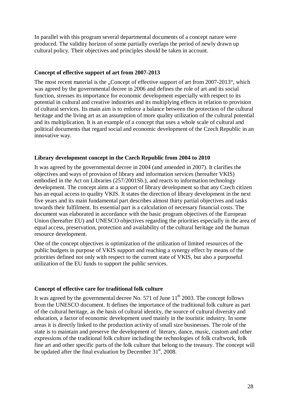In parallel with this program several departmental documents of a concept nature were produced. The validity horizon of some partially overlaps the period of newly drawn up cultural policy. Their objectives and principles should be taken in account.

#### **Concept of effective support of art from 2007-2013**

The most recent material is the "Concept of effective support of art from 2007-2013", which was agreed by the governmental decree in 2006 and defines the role of art and its social function, stresses its importance for economic development especially with respect to its potential in cultural and creative industries and its multiplying effects in relation to provision of cultural services. Its main aim is to enforce a balance between the protection of the cultural heritage and the living art as an assumption of more quality utilization of the cultural potential and its multiplication. It is an example of a concept that uses a whole scale of cultural and political documents that regard social and economic development of the Czech Republic in an innovative way.

#### **Library development concept in the Czech Republic from 2004 to 2010**

It was agreed by the governmental decree in 2004 (and amended in 2007). It clarifies the objectives and ways of provision of library and information services (hereafter VKIS) embodied in the Act on Libraries (257/2001Sb.), and reacts to information technology development. The concept aims at a support of library development so that any Czech citizen has an equal access to quality VKIS. It states the direction of library development in the next five years and its main fundamental part describes almost thirty partial objectives and tasks towards their fulfilment. Its essential part is a calculation of necessary financial costs. The document was elaborated in accordance with the basic program objectives of the European Union (hereafter EU) and UNESCO objectives regarding the priorities especially in the area of equal access, preservation, protection and availability of the cultural heritage and the human resource development.

One of the concept objectives is optimization of the utilization of limited resources of the public budgets in purpose of VKIS support and reaching a synergy effect by means of the priorities defined not only with respect to the current state of VKIS, but also a purposeful utilization of the EU funds to support the public services.

## **Concept of effective care for traditional folk culture**

It was agreed by the governmental decree No. 571 of June  $11<sup>th</sup>$  2003. The concept follows from the UNESCO document. It defines the importance of the traditional folk culture as part of the cultural heritage, as the basis of cultural identity, the source of cultural diversity and education, a factor of economic development used mainly in the touristic industry. In some areas it is directly linked to the production activity of small size businesses. The role of the state is to maintain and preserve the development of literary, dance, music, custom and other expressions of the traditional folk culture including the technologies of folk craftwork, folk fine art and other specific parts of the folk culture that belong to the treasury. The concept will be updated after the final evaluation by December  $31<sup>st</sup>$ , 2008.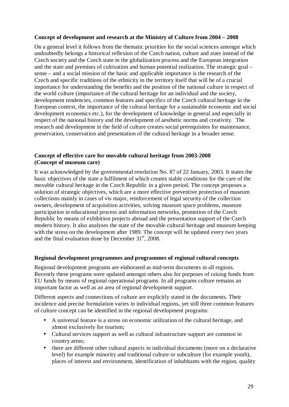#### **Concept of development and research at the Ministry of Culture from 2004 – 2008**

On a general level it follows from the thematic priorities for the social sciences amongst which undoubtedly belongs a historical reflexion of the Czech nation, culture and state instead of the Czech society and the Czech state in the globalization process and the European integration and the state and premises of cultivation and human potential realization. The strategic goal – sense – and a social mission of the basic and applicable importance is the research of the Czech and specific traditions of the ethnicity in the territory itself that will be of a crucial importance for understanding the benefits and the position of the national culture in respect of the world culture (importance of the cultural heritage for an individual and the society, development tendencies, common features and specifics of the Czech cultural heritage in the European context, the importance of the cultural heritage for a sustainable economic and social development economics etc.), for the development of knowledge in general and especially in respect of the national history and the development of aesthetic norms and creativity. The research and development in the field of culture creates social prerequisites for maintenance, preservation, conservation and presentation of the cultural heritage in a broader sense.

#### **Concept of effective care for movable cultural heritage from 2003-2008 (Concept of museum care)**

It was acknowledged by the governmental resolution No. 87 of 22 January, 2003. It states the basic objectives of the state a fulfilment of which creates stable conditions for the care of the movable cultural heritage in the Czech Republic in a given period. The concept proposes a solution of strategic objectives, which are a more effective preventive protection of museum collections mainly in cases of vis major, reinforcement of legal security of the collection owners, development of acquisition activities, solving museum space problems, museum participation in educational process and information networks, promotion of the Czech Republic by means of exhibition projects abroad and the presentation support of the Czech modern history. It also analyses the state of the movable cultural heritage and museum keeping with the stress on the development after 1989. The concept will be updated every two years and the final evaluation done by December  $31<sup>st</sup>$ , 2008.

#### **Regional development programmes and programmes of regional cultural concepts**

Regional development programs are elaborated as mid-term documents in all regions. Recently these programs were updated amongst others also for purposes of raising funds from EU funds by means of regional operational programs. In all programs culture remains an important factor as well as an area of regional development support.

Different aspects and connections of culture are explicitly stated in the documents. Their incidence and precise formulation varies in individual regions, yet still three common features of culture concept can be identified in the regional development programs:

- A universal feature is a stress on economic utilization of the cultural heritage, and almost exclusively for tourism;
- Cultural services support as well as cultural infrastructure support are common in country areas;
- there are different other cultural aspects in individual documents (more on a declarative level) for example minority and traditional culture or subculture (for example youth), places of interest and environment, identification of inhabitants with the region, quality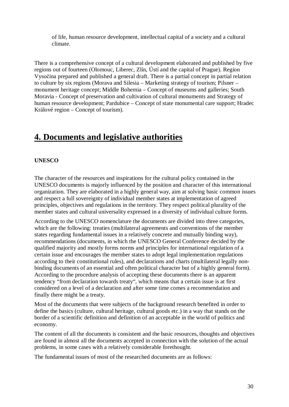of life, human resource development, intellectual capital of a society and a cultural climate.

There is a comprehensive concept of a cultural development elaborated and published by five regions out of fourteen (Olomouc, Liberec, Zlín, Ústí and the capital of Prague). Region Vysočina prepared and published a general draft. There is a partial concept in partial relation to culture by six regions (Morava and Silesia – Marketing strategy of tourism; Pilsner – monument heritage concept; Middle Bohemia – Concept of museums and galleries; South Moravia - Concept of preservation and cultivation of cultural monuments and Strategy of human resource development; Pardubice – Concept of state monumental care support: Hradec Králové region – Concept of tourism).

## **4. Documents and legislative authorities**

## **UNESCO**

The character of the resources and inspirations for the cultural policy contained in the UNESCO documents is majorly influenced by the position and character of this international organization. They are elaborated in a highly general way, aim at solving basic common issues and respect a full sovereignty of individual member states at implementation of agreed principles, objectives and regulations in the territory. They respect political plurality of the member states and cultural universality expressed in a diversity of individual culture forms.

According to the UNESCO nomenclature the documents are divided into three categories, which are the following: treaties (multilateral agreements and conventions of the member states regarding fundamental issues in a relatively concrete and mutually binding way), recommendations (documents, in which the UNESCO General Conference decided by the qualified majority and mostly forms norms and principles for international regulation of a certain issue and encourages the member states to adopt legal implementation regulations according to their constitutional rules), and declarations and charts (multilateral legally nonbinding documents of an essential and often political character but of a highly general form). According to the procedure analysis of accepting these documents there is an apparent tendency "from declaration towards treaty", which means that a certain issue is at first considered on a level of a declaration and after some time comes a recommendation and finally there might be a treaty.

Most of the documents that were subjects of the background research benefited in order to define the basics (culture, cultural heritage, cultural goods etc.) in a way that stands on the border of a scientific definition and definition of an acceptable in the world of politics and economy.

The content of all the documents is consistent and the basic resources, thoughts and objectives are found in almost all the documents accepted in connection with the solution of the actual problems, in some cases with a relatively considerable forethought.

The fundamental issues of most of the researched documents are as follows: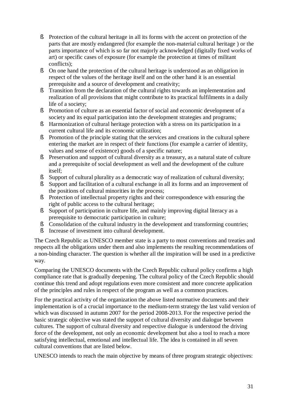- § Protection of the cultural heritage in all its forms with the accent on protection of the parts that are mostly endangered (for example the non-material cultural heritage ) or the parts importance of which is so far not majorly acknowledged (digitally fixed works of art) or specific cases of exposure (for example the protection at times of militant conflicts);
- § On one hand the protection of the cultural heritage is understood as an obligation in respect of the values of the heritage itself and on the other hand it is an essential prerequisite and a source of development and creativity;
- § Transition from the declaration of the cultural rights towards an implementation and realization of all provisions that might contribute to its practical fulfilments in a daily life of a society;
- § Promotion of culture as an essential factor of social and economic development of a society and its equal participation into the development strategies and programs;
- § Harmonization of cultural heritage protection with a stress on its participation in a current cultural life and its economic utilization;
- § Promotion of the principle stating that the services and creations in the cultural sphere entering the market are in respect of their functions (for example a carrier of identity, values and sense of existence) goods of a specific nature;
- § Preservation and support of cultural diversity as a treasury, as a natural state of culture and a prerequisite of social development as well and the development of the culture itself;
- § Support of cultural plurality as a democratic way of realization of cultural diversity;
- § Support and facilitation of a cultural exchange in all its forms and an improvement of the positions of cultural minorities in the process;
- § Protection of intellectual property rights and their correspondence with ensuring the right of public access to the cultural heritage;
- § Support of participation in culture life, and mainly improving digital literacy as a prerequisite to democratic participation in culture;
- § Consolidation of the cultural industry in the development and transforming countries;
- § Increase of investment into cultural development.

The Czech Republic as UNESCO member state is a party to most conventions and treaties and respects all the obligations under them and also implements the resulting recommendations of a non-binding character. The question is whether all the inspiration will be used in a predictive way.

Comparing the UNESCO documents with the Czech Republic cultural policy confirms a high compliance rate that is gradually deepening. The cultural policy of the Czech Republic should continue this trend and adopt regulations even more consistent and more concrete application of the principles and rules in respect of the program as well as a common practices.

For the practical activity of the organization the above listed normative documents and their implementation is of a crucial importance to the medium-term strategy the last valid version of which was discussed in autumn 2007 for the period 2008-2013. For the respective period the basic strategic objective was stated the support of cultural diversity and dialogue between cultures. The support of cultural diversity and respective dialogue is understood the driving force of the development, not only an economic development but also a tool to reach a more satisfying intellectual, emotional and intellectual life. The idea is contained in all seven cultural conventions that are listed below.

UNESCO intends to reach the main objective by means of three program strategic objectives: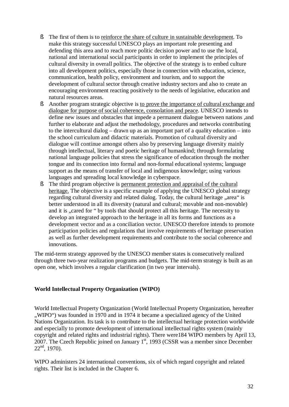- § The first of them is to reinforce the share of culture in sustainable development. To make this strategy successful UNESCO plays an important role presenting and defending this area and to reach more politic decision power and to use the local, national and international social participants in order to implement the principles of cultural diversity in overall politics. The objective of the strategy is to embed culture into all development politics, especially those in connection with education, science, communication, health policy, environment and tourism, and to support the development of cultural sector through creative industry sectors and also to create an encouraging environment reacting positively to the needs of legislative, education and natural resources areas.
- § Another program strategic objective is to prove the importance of cultural exchange and dialogue for purpose of social coherence, consolation and peace. UNESCO intends to define new issues and obstacles that impede a permanent dialogue between nations ,and further to elaborate and adjust the methodology, procedures and networks contributing to the intercultural dialog – drawn up as an important part of a quality education – into the school curriculum and didactic materials. Promotion of cultural diversity and dialogue will continue amongst others also by preserving language diversity mainly through intellectual, literary and poetic heritage of humankind; through formulating national language policies that stress the significance of education through the mother tongue and its connection into formal and non-formal educational systems; language support as the means of transfer of local and indigenous knowledge; using various languages and spreading local knowledge in cyberspace.
- § The third program objective is permanent protection and appraisal of the cultural heritage. The objective is a specific example of applying the UNESCO global strategy regarding cultural diversity and related dialog. Today, the cultural heritage "area" is better understood in all its diversity (natural and cultural; movable and non-movable) and it is "cared for " by tools that should protect all this heritage. The necessity to develop an integrated approach to the heritage in all its forms and functions as a development vector and as a conciliation vector. UNESCO therefore intends to promote participation policies and regulations that involve requirements of heritage preservation as well as further development requirements and contribute to the social coherence and innovations.

The mid-term strategy approved by the UNESCO member states is consecutively realized through three two-year realization programs and budgets. The mid-term strategy is built as an open one, which involves a regular clarification (in two year intervals).

## **World Intellectual Property Organization (WIPO)**

World Intellectual Property Organization (World Intellectual Property Organization, hereafter ", WIPO") was founded in 1970 and in 1974 it became a specialized agency of the United Nations Organization. Its task is to contribute to the intellectual heritage protection worldwide and especially to promote development of international intellectual rights system (mainly copyright and related rights and industrial rights). There were184 WIPO members by April 13, 2007. The Czech Republic joined on January  $1<sup>st</sup>$ , 1993 (CSSR was a member since December  $22<sup>nd</sup>$ , 1970).

WIPO administers 24 international conventions, six of which regard copyright and related rights. Their list is included in the Chapter 6.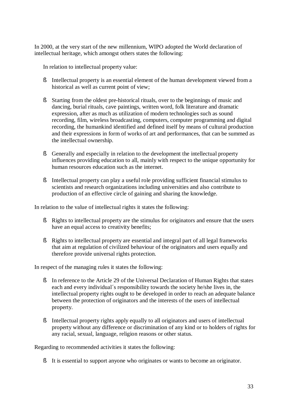In 2000, at the very start of the new millennium, WIPO adopted the World declaration of intellectual heritage, which amongst others states the following:

In relation to intellectual property value:

- § Intellectual property is an essential element of the human development viewed from a historical as well as current point of view;
- § Starting from the oldest pre-historical rituals, over to the beginnings of music and dancing, burial rituals, cave paintings, written word, folk literature and dramatic expression, after as much as utilization of modern technologies such as sound recording, film, wireless broadcasting, computers, computer programming and digital recording, the humankind identified and defined itself by means of cultural production and their expressions in form of works of art and performances, that can be summed as the intellectual ownership.
- § Generally and especially in relation to the development the intellectual property influences providing education to all, mainly with respect to the unique opportunity for human resources education such as the internet.
- § Intellectual property can play a useful role providing sufficient financial stimulus to scientists and research organizations including universities and also contribute to production of an effective circle of gaining and sharing the knowledge.

In relation to the value of intellectual rights it states the following:

- § Rights to intellectual property are the stimulus for originators and ensure that the users have an equal access to creativity benefits;
- § Rights to intellectual property are essential and integral part of all legal frameworks that aim at regulation of civilized behaviour of the originators and users equally and therefore provide universal rights protection.

In respect of the managing rules it states the following:

- § In reference to the Article 29 of the Universal Declaration of Human Rights that states each and every individual´s responsibility towards the society he/she lives in, the intellectual property rights ought to be developed in order to reach an adequate balance between the protection of originators and the interests of the users of intellectual property.
- § Intellectual property rights apply equally to all originators and users of intellectual property without any difference or discrimination of any kind or to holders of rights for any racial, sexual, language, religion reasons or other status.

Regarding to recommended activities it states the following:

§ It is essential to support anyone who originates or wants to become an originator.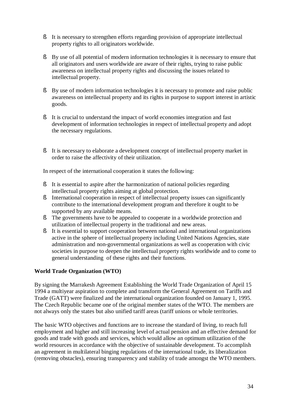- § It is necessary to strengthen efforts regarding provision of appropriate intellectual property rights to all originators worldwide.
- § By use of all potential of modern information technologies it is necessary to ensure that all originators and users worldwide are aware of their rights, trying to raise public awareness on intellectual property rights and discussing the issues related to intellectual property.
- § By use of modern information technologies it is necessary to promote and raise public awareness on intellectual property and its rights in purpose to support interest in artistic goods.
- § It is crucial to understand the impact of world economies integration and fast development of information technologies in respect of intellectual property and adopt the necessary regulations.
- § It is necessary to elaborate a development concept of intellectual property market in order to raise the affectivity of their utilization.

In respect of the international cooperation it states the following:

- § It is essential to aspire after the harmonization of national policies regarding intellectual property rights aiming at global protection.
- § International cooperation in respect of intellectual property issues can significantly contribute to the international development program and therefore it ought to be supported by any available means.
- § The governments have to be appealed to cooperate in a worldwide protection and utilization of intellectual property in the traditional and new areas.
- § It is essential to support cooperation between national and international organizations active in the sphere of intellectual property including United Nations Agencies, state administration and non-governmental organizations as well as cooperation with civic societies in purpose to deepen the intellectual property rights worldwide and to come to general understanding of these rights and their functions.

## **World Trade Organization (WTO)**

By signing the Marrakesh Agreement Establishing the World Trade Organization of April 15 1994 a multiyear aspiration to complete and transform the General Agreement on Tariffs and Trade (GATT) were finalized and the international organization founded on January 1, 1995. The Czech Republic became one of the original member states of the WTO. The members are not always only the states but also unified tariff areas (tariff unions or whole territories.

The basic WTO objectives and functions are to increase the standard of living, to reach full employment and higher and still increasing level of actual pension and an effective demand for goods and trade with goods and services, which would allow an optimum utilization of the world resources in accordance with the objective of sustainable development. To accomplish an agreement in multilateral binging regulations of the international trade, its liberalization (removing obstacles), ensuring transparency and stability of trade amongst the WTO members.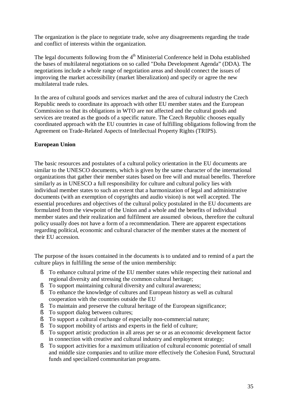The organization is the place to negotiate trade, solve any disagreements regarding the trade and conflict of interests within the organization.

The legal documents following from the  $4<sup>th</sup>$  Ministerial Conference held in Doha established the bases of multilateral negotiations on so called "Doha Development Agenda" (DDA). The negotiations include a whole range of negotiation areas and should connect the issues of improving the market accessibility (market liberalization) and specify or agree the new multilateral trade rules.

In the area of cultural goods and services market and the area of cultural industry the Czech Republic needs to coordinate its approach with other EU member states and the European Commission so that its obligations in WTO are not affected and the cultural goods and services are treated as the goods of a specific nature. The Czech Republic chooses equally coordinated approach with the EU countries in case of fulfilling obligations following from the Agreement on Trade-Related Aspects of Intellectual Property Rights (TRIPS).

## **European Union**

The basic resources and postulates of a cultural policy orientation in the EU documents are similar to the UNESCO documents, which is given by the same character of the international organizations that gather their member states based on free will and mutual benefits. Therefore similarly as in UNESCO a full responsibility for culture and cultural policy lies with individual member states to such an extent that a harmonization of legal and administrative documents (with an exemption of copyrights and audio vision) is not well accepted. The essential procedures and objectives of the cultural policy postulated in the EU documents are formulated from the viewpoint of the Union and a whole and the benefits of individual member states and their realization and fulfilment are assumed obvious, therefore the cultural policy usually does not have a form of a recommendation. There are apparent expectations regarding political, economic and cultural character of the member states at the moment of their EU accession.

The purpose of the issues contained in the documents is to undated and to remind of a part the culture plays in fulfilling the sense of the union membership:

- § To enhance cultural prime of the EU member states while respecting their national and regional diversity and stressing the common cultural heritage;
- § To support maintaining cultural diversity and cultural awareness;
- § To enhance the knowledge of cultures and European history as well as cultural cooperation with the countries outside the EU
- § To maintain and preserve the cultural heritage of the European significance;
- § To support dialog between cultures;
- § To support a cultural exchange of especially non-commercial nature;
- § To support mobility of artists and experts in the field of culture;
- § To support artistic production in all areas per se or as an economic development factor in connection with creative and cultural industry and employment strategy;
- § To support activities for a maximum utilization of cultural economic potential of small and middle size companies and to utilize more effectively the Cohesion Fund, Structural funds and specialized communitarian programs.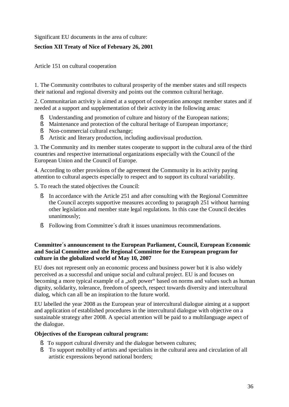Significant EU documents in the area of culture:

## **Section XII Treaty of Nice of February 26, 2001**

Article 151 on cultural cooperation

1. The Community contributes to cultural prosperity of the member states and still respects their national and regional diversity and points out the common cultural heritage.

2. Communitarian activity is aimed at a support of cooperation amongst member states and if needed at a support and supplementation of their activity in the following areas:

- § Understanding and promotion of culture and history of the European nations;
- § Maintenance and protection of the cultural heritage of European importance;
- § Non-commercial cultural exchange;
- § Artistic and literary production, including audiovisual production.

3. The Community and its member states cooperate to support in the cultural area of the third countries and respective international organizations especially with the Council of the European Union and the Council of Europe.

4. According to other provisions of the agreement the Community in its activity paying attention to cultural aspects especially to respect and to support its cultural variability.

5. To reach the stated objectives the Council:

- § In accordance with the Article 251 and after consulting with the Regional Committee the Council accepts supportive measures according to paragraph 251 without harming other legislation and member state legal regulations. In this case the Council decides unanimously;
- § Following from Committee´s draft it issues unanimous recommendations.

#### **Committee´s announcement to the European Parliament, Council, European Economic and Social Committee and the Regional Committee for the European program for culture in the globalized world of May 10, 2007**

EU does not represent only an economic process and business power but it is also widely perceived as a successful and unique social and cultural project. EU is and focuses on becoming a more typical example of a "soft power" based on norms and values such as human dignity, solidarity, tolerance, freedom of speech, respect towards diversity and intercultural dialog, which can all be an inspiration to the future world.

EU labelled the year 2008 as the European year of intercultural dialogue aiming at a support and application of established procedures in the intercultural dialogue with objective on a sustainable strategy after 2008. A special attention will be paid to a multilanguage aspect of the dialogue.

## **Objectives of the European cultural program:**

- § To support cultural diversity and the dialogue between cultures;
- § To support mobility of artists and specialists in the cultural area and circulation of all artistic expressions beyond national borders;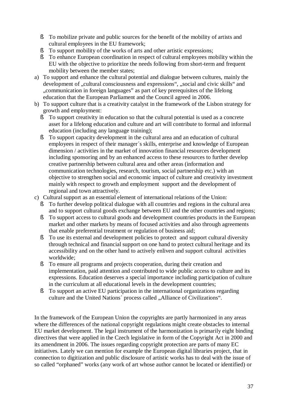- § To mobilize private and public sources for the benefit of the mobility of artists and cultural employees in the EU framework;
- § To support mobility of the works of arts and other artistic expressions;
- § To enhance European coordination in respect of cultural employees mobility within the EU with the objective to prioritize the needs following from short-term and frequent mobility between the member states;
- a) To support and enhance the cultural potential and dialogue between cultures, mainly the development of "cultural consciousness and expressions", "social and civic skills" and "communication in foreign languages" as part of key prerequisites of the lifelong education that the European Parliament and the Council agreed in 2006.
- b) To support culture that is a creativity catalyst in the framework of the Lisbon strategy for growth and employment:
	- § To support creativity in education so that the cultural potential is used as a concrete asset for a lifelong education and culture and art will contribute to formal and informal education (including any language training);
	- § To support capacity development in the cultural area and an education of cultural employees in respect of their manager´s skills, enterprise and knowledge of European dimension / activities in the market of innovation financial resources development including sponsoring and by an enhanced access to these resources to further develop creative partnership between cultural area and other areas (information and communication technologies, research, tourism, social partnership etc.) with an objective to strengthen social and economic impact of culture and creativity investment mainly with respect to growth and employment support and the development of regional and town attractively.
- c) Cultural support as an essential element of international relations of the Union:
	- § To further develop political dialogue with all countries and regions in the cultural area and to support cultural goods exchange between EU and the other countries and regions;
	- § To support access to cultural goods and development countries products in the European market and other markets by means of focused activities and also through agreements that enable preferential treatment or regulation of business aid;
	- § To use its external and development policies to protect and support cultural diversity through technical and financial support on one hand to protect cultural heritage and its accessibility and on the other hand to actively enliven and support cultural activities worldwide;
	- § To ensure all programs and projects cooperation, during their creation and implementation, paid attention and contributed to wide public access to culture and its expressions. Education deserves a special importance including participation of culture in the curriculum at all educational levels in the development countries;
	- § To support an active EU participation in the international organizations regarding culture and the United Nations´ process called "Alliance of Civilizations".

In the framework of the European Union the copyrights are partly harmonized in any areas where the differences of the national copyright regulations might create obstacles to internal EU market development. The legal instrument of the harmonization is primarily eight binding directives that were applied in the Czech legislative in form of the Copyright Act in 2000 and its amendment in 2006. The issues regarding copyright protection are parts of many EC initiatives. Lately we can mention for example the European digital libraries project, that in connection to digitization and public disclosure of artistic works has to deal with the issue of so called "orphaned" works (any work of art whose author cannot be located or identified) or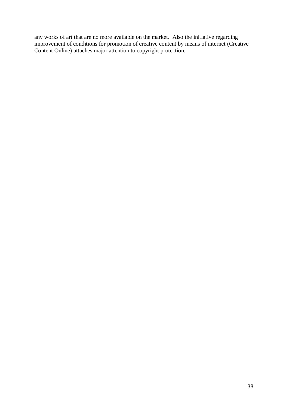any works of art that are no more available on the market. Also the initiative regarding improvement of conditions for promotion of creative content by means of internet (Creative Content Online) attaches major attention to copyright protection.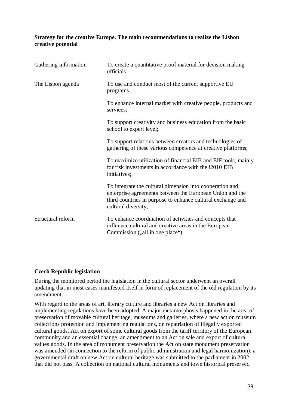## **Strategy for the creative Europe. The main recommendations to realize the Lisbon creative potential**

| Gathering information | To create a quantitative proof material for decision making<br>officials                                                                                                                                   |
|-----------------------|------------------------------------------------------------------------------------------------------------------------------------------------------------------------------------------------------------|
| The Lisbon agenda     | To use and conduct most of the current supportive EU<br>programs                                                                                                                                           |
|                       | To enhance internal market with creative people, products and<br>services;                                                                                                                                 |
|                       | To support creativity and business education from the basic<br>school to expert level;                                                                                                                     |
|                       | To support relations between creators and technologies of<br>gathering of these various competence at creative platforms;                                                                                  |
|                       | To maximize utilization of financial EIB and EIF tools, mainly<br>for risk investments in accordance with the i2010 EIB<br>initiatives;                                                                    |
|                       | To integrate the cultural dimension into cooperation and<br>enterprise agreements between the European Union and the<br>third countries in purpose to enhance cultural exchange and<br>cultural diversity; |
| Structural reform     | To enhance coordination of activities and concepts that<br>influence cultural and creative areas in the European<br>Commission ("all in one place")                                                        |

## **Czech Republic legislation**

During the monitored period the legislation in the cultural sector underwent an overall updating that in most cases manifested itself in form of replacement of the old regulation by its amendment.

With regard to the areas of art, literary culture and libraries a new Act on libraries and implementing regulations have been adopted. A major metamorphosis happened in the area of preservation of movable cultural heritage, museums and galleries, where a new act on museum collections protection and implementing regulations, on repatriation of illegally exported cultural goods, Act on export of some cultural goods from the tariff territory of the European community and an essential change, an amendment to an Act on sale and export of cultural values goods. In the area of monument preservation the Act on state monument preservation was amended (in connection to the reform of public administration and legal harmonization), a governmental draft on new Act on cultural heritage was submitted to the parliament in 2002 that did not pass. A collection on national cultural monuments and town historical preserved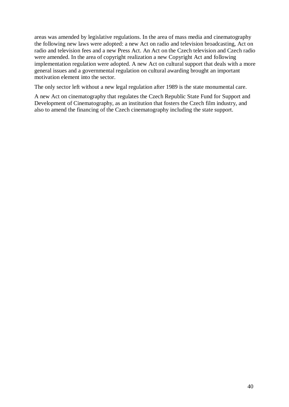areas was amended by legislative regulations. In the area of mass media and cinematography the following new laws were adopted: a new Act on radio and television broadcasting, Act on radio and television fees and a new Press Act. An Act on the Czech television and Czech radio were amended. In the area of copyright realization a new Copyright Act and following implementation regulation were adopted. A new Act on cultural support that deals with a more general issues and a governmental regulation on cultural awarding brought an important motivation element into the sector.

The only sector left without a new legal regulation after 1989 is the state monumental care.

A new Act on cinematography that regulates the Czech Republic State Fund for Support and Development of Cinematography, as an institution that fosters the Czech film industry, and also to amend the financing of the Czech cinematography including the state support.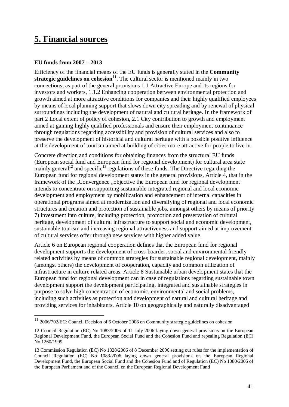# **5. Financial sources**

## **EU funds from 2007 – 2013**

 $\overline{a}$ 

Efficiency of the financial means of the EU funds is generally stated in the **Community**  strategic guidelines on cohesion<sup>11</sup>. The cultural sector is mentioned mainly in two connections; as part of the general provisions 1.1 Attractive Europe and its regions for investors and workers, 1.1.2 Enhancing cooperation between environmental protection and growth aimed at more attractive conditions for companies and their highly qualified employees by means of local planning support that slows down city spreading and by renewal of physical surroundings including the development of natural and cultural heritage. In the framework of part 2 Local extent of policy of cohesion, 2.1 City contribution to growth and employment aimed at gaining highly qualified professionals and ensure their employment continuance through regulations regarding accessibility and provision of cultural services and also to preserve the development of historical and cultural heritage with a possible positive influence at the development of tourism aimed at building of cities more attractive for people to live in.

Concrete direction and conditions for obtaining finances from the structural EU funds (European social fund and European fund for regional development) for cultural area state mainly general<sup>12</sup> and specific<sup>13</sup> regulations of these funds. The Directive regarding the European fund for regional development states in the general provisions, Article 4, that in the framework of the "Convergence "objective the European fund for regional development intends to concentrate on supporting sustainable integrated regional and local economic development and employment by mobilization and enhancement of internal capacities in operational programs aimed at modernization and diversifying of regional and local economic structures and creation and protection of sustainable jobs, amongst others by means of priority 7) investment into culture, including protection, promotion and preservation of cultural heritage, development of cultural infrastructure to support social and economic development, sustainable tourism and increasing regional attractiveness and support aimed at improvement of cultural services offer through new services with higher added value.

Article 6 on European regional cooperation defines that the European fund for regional development supports the development of cross-boarder, social and environmental friendly related activities by means of common strategies for sustainable regional development, mainly (amongst others) the development of cooperation, capacity and common utilization of infrastructure in culture related areas. Article 8 Sustainable urban development states that the European fund for regional development can in case of regulations regarding sustainable town development support the development participating, integrated and sustainable strategies in purpose to solve high concentration of economic, environmental and social problems, including such activities as protection and development of natural and cultural heritage and providing services for inhabitants. Article 10 on geographically and naturally disadvantaged

 $11$  2006/702/EC: Council Decision of 6 October 2006 on Community strategic guidelines on cohesion

<sup>12</sup> Council Regulation (EC) No 1083/2006 of 11 July 2006 laying down general provisions on the European Regional Development Fund, the European Social Fund and the Cohesion Fund and repealing Regulation (EC) No 1260/1999

<sup>13</sup> Commission Regulation (EC) No 1828/2006 of 8 December 2006 setting out rules for the implementation of Council Regulation (EC) No 1083/2006 laying down general provisions on the European Regional Development Fund, the European Social Fund and the Cohesion Fund and of Regulation (EC) No 1080/2006 of the European Parliament and of the Council on the European Regional Development Fund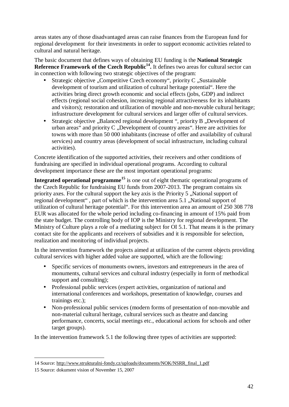areas states any of those disadvantaged areas can raise finances from the European fund for regional development for their investments in order to support economic activities related to cultural and natural heritage.

The basic document that defines ways of obtaining EU funding is the **National Strategic Reference Framework of the Czech Republic<sup>14</sup> .** It defines two areas for cultural sector can in connection with following two strategic objectives of the program:

- Strategic objective ...Competitive Czech economy", priority  $C$  ...Sustainable development of tourism and utilization of cultural heritage potential". Here the activities bring direct growth economic and social effects (jobs, GDP) and indirect effects (regional social cohesion, increasing regional attractiveness for its inhabitants and visitors); restoration and utilization of movable and non-movable cultural heritage; infrastructure development for cultural services and larger offer of cultural services.
- Strategic objective  $\Box$ Balanced regional development ", priority B  $\Box$ Development of urban areas" and priority  $C$ , Development of country areas". Here are activities for towns with more than 50 000 inhabitants (increase of offer and availability of cultural services) and country areas (development of social infrastructure, including cultural activities).

Concrete identification of the supported activities, their receivers and other conditions of fundraising are specified in individual operational programs. According to cultural development importance these are the most important operational programs:

**Integrated operational programme<sup>15</sup>** is one out of eight thematic operational programs of the Czech Republic for fundraising EU funds from 2007-2013. The program contains six priority axes. For the cultural support the key axis is the Priority 5 , National support of regional development", part of which is the intervention area 5.1 , National support of utilization of cultural heritage potential". For this intervention area an amount of 250 308 778 EUR was allocated for the whole period including co-financing in amount of 15% paid from the state budget. The controlling body of IOP is the Ministry for regional development. The Ministry of Culture plays a role of a mediating subject for OI 5.1. That means it is the primary contact site for the applicants and receivers of subsidies and it is responsible for selection, realization and monitoring of individual projects.

In the intervention framework the projects aimed at utilization of the current objects providing cultural services with higher added value are supported, which are the following:

- Specific services of monuments owners, investors and entrepreneurs in the area of monuments, cultural services and cultural industry (especially in form of methodical support and consulting);
- Professional public services (expert activities, organization of national and international conferences and workshops, presentation of knowledge, courses and trainings etc.);
- Non-professional public services (modern forms of presentation of non-movable and non-material cultural heritage, cultural services such as theatre and dancing performance, concerts, social meetings etc., educational actions for schools and other target groups).

In the intervention framework 5.1 the following three types of activities are supported:

 $\overline{a}$ 

<sup>14</sup> Source: [http://www.strukturalni-fondy.cz/uploads/documents/NOK/NSRR\\_final\\_1.pdf](http://www.strukturalni-fondy.cz/uploads/documents/NOK/NSRR_final_1.pdf)

<sup>15</sup> Source: dokument vision of November 15, 2007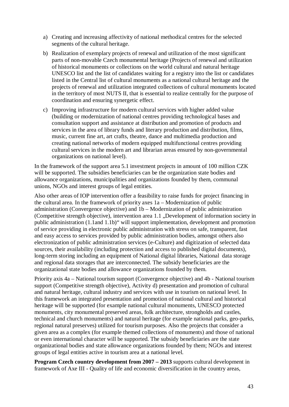- a) Creating and increasing affectivity of national methodical centres for the selected segments of the cultural heritage.
- b) Realization of exemplary projects of renewal and utilization of the most significant parts of non-movable Czech monumental heritage (Projects of renewal and utilization of historical monuments or collections on the world cultural and natural heritage UNESCO list and the list of candidates waiting for a registry into the list or candidates listed in the Central list of cultural monuments as a national cultural heritage and the projects of renewal and utilization integrated collections of cultural monuments located in the territory of most NUTS II, that is essential to realize centrally for the purpose of coordination and ensuring synergetic effect.
- c) Improving infrastructure for modern cultural services with higher added value (building or modernization of national centres providing technological bases and consultation support and assistance at distribution and promotion of products and services in the area of library funds and literary production and distribution, films, music, current fine art, art crafts, theatre, dance and multimedia production and creating national networks of modern equipped multifunctional centres providing cultural services in the modern art and librarian areas ensured by non-governmental organizations on national level).

In the framework of the support area 5.1 investment projects in amount of 100 million CZK will be supported. The subsidies beneficiaries can be the organization state bodies and allowance organizations, municipalities and organizations founded by them, communal unions, NGOs and interest groups of legal entities.

Also other areas of IOP intervention offer a feasibility to raise funds for project financing in the cultural area. In the framework of priority axes 1a – Modernization of public administration (Convergence objective) and 1b – Modernization of public administration (Competitive strength objective), intervention area 1.1 . Development of information society in public administration (1.1and 1.1b)" will support implementation, development and promotion of service providing in electronic public administration with stress on safe, transparent, fast and easy access to services provided by public administration bodies, amongst others also electronization of public administration services (e-Culture) and digitization of selected data sources, their availability (including protection and access to published digital documents), long-term storing including an equipment of National digital libraries, National data storage and regional data storages that are interconnected. The subsidy beneficiaries are the organizational state bodies and allowance organizations founded by them.

Priority axis 4a – National tourism support (Convergence objective) and 4b - National tourism support (Competitive strength objective), Activity d) presentation and promotion of cultural and natural heritage, cultural industry and services with use in tourism on national level. In this framework an integrated presentation and promotion of national cultural and historical heritage will be supported (for example national cultural monuments, UNESCO protected monuments, city monumental preserved areas, folk architecture, strongholds and castles, technical and church monuments) and natural heritage (for example national parks, geo-parks, regional natural preserves) utilized for tourism purposes. Also the projects that consider a given area as a complex (for example themed collections of monuments) and those of national or even international character will be supported. The subsidy beneficiaries are the state organizational bodies and state allowance organizations founded by them; NGOs and interest groups of legal entities active in tourism area at a national level.

**Program Czech country development from 2007 – 2013** supports cultural development in framework of Axe III - Quality of life and economic diversification in the country areas,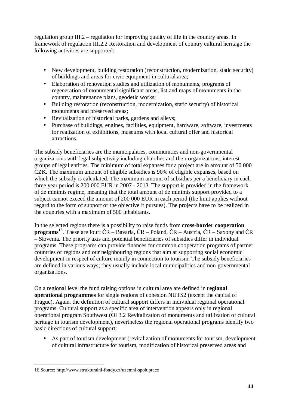regulation group III.2 – regulation for improving quality of life in the country areas. In framework of regulation III.2.2 Restoration and development of country cultural heritage the following activities are supported:

- New development, building restoration (reconstruction, modernization, static security) of buildings and areas for civic equipment in cultural area;
- Elaboration of renovation studies and utilization of monuments, programs of regeneration of monumental significant areas, list and maps of monuments in the country, maintenance plans, geodetic works;
- Building restoration (reconstruction, modernization, static security) of historical monuments and preserved areas;
- Revitalization of historical parks, gardens and alleys;
- Purchase of buildings, engines, facilities, equipment, hardware, software, investments for realization of exhibitions, museums with local cultural offer and historical attractions.

The subsidy beneficiaries are the municipalities, communities and non-governmental organizations with legal subjectivity including churches and their organizations, interest groups of legal entities. The minimum of total expanses for a project are in amount of 50 000 CZK. The maximum amount of eligible subsidies is 90% of eligible expanses, based on which the subsidy is calculated. The maximum amount of subsidies per a beneficiary in each three year period is 200 000 EUR in 2007 - 2013. The support is provided in the framework of de minimis regime, meaning that the total amount of de minimis support provided to a subject cannot exceed the amount of 200 000 EUR in each period (the limit applies without regard to the form of support or the objective it pursues). The projects have to be realized in the countries with a maximum of 500 inhabitants.

In the selected regions there is a possibility to raise funds from **cross-border cooperation programs<sup>16</sup>**. These are four: ČR – Bavaria, ČR – Poland, ČR – Austria, ČR – Saxony and ČR – Slovenia. The priority axis and potential beneficiaries of subsidies differ in individual programs. These programs can provide finances for common cooperation programs of partner countries or regions and our neighbouring regions that aim at supporting social economic development in respect of culture mainly in connection to tourism. The subsidy beneficiaries are defined in various ways; they usually include local municipalities and non-governmental organizations.

On a regional level the fund raising options in cultural area are defined in **regional operational programmes** for single regions of cohesion NUTS2 (except the capital of Prague). Again, the definition of cultural support differs in individual regional operational programs. Cultural support as a specific area of intervention appears only in regional operational program Southwest (OI 3.2 Revitalization of monuments and utilization of cultural heritage in tourism development), nevertheless the regional operational programs identify two basic directions of cultural support:

• As part of tourism development (revitalization of monuments for tourism, development of cultural infrastructure for tourism, modification of historical preserved areas and

 $\overline{a}$ 

<sup>16</sup> Source:<http://www.strukturalni-fondy.cz/uzemni-spoluprace>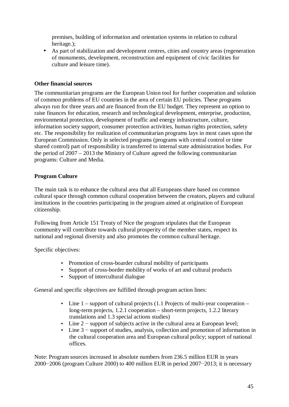premises, building of information and orientation systems in relation to cultural heritage.);

• As part of stabilization and development centres, cities and country areas (regeneration of monuments, development, reconstruction and equipment of civic facilities for culture and leisure time).

## **Other financial sources**

The communitarian programs are the European Union tool for further cooperation and solution of common problems of EU countries in the area of certain EU policies. These programs always run for three years and are financed from the EU budget. They represent an option to raise finances for education, research and technological development, enterprise, production, environmental protection, development of traffic and energy infrastructure, culture, information society support, consumer protection activities, human rights protection, safety etc. The responsibility for realization of communitarian programs lays in most cases upon the European Commission. Only in selected programs (programs with central control or time shared control) part of responsibility is transferred to internal state administration bodies. For the period of 2007 – 2013 the Ministry of Culture agreed the following communitarian programs: Culture and Media.

## **Program Culture**

The main task is to enhance the cultural area that all Europeans share based on common cultural space through common cultural cooperation between the creators, players and cultural institutions in the countries participating in the program aimed at origination of European citizenship.

Following from Article 151 Treaty of Nice the program stipulates that the European community will contribute towards cultural prosperity of the member states, respect its national and regional diversity and also promotes the common cultural heritage.

Specific objectives:

- Promotion of cross-boarder cultural mobility of participants
- Support of cross-border mobility of works of art and cultural products
- Support of intercultural dialogue

General and specific objectives are fulfilled through program action lines:

- Line  $1$  support of cultural projects  $(1.1 \text{ Projects of multi-year cooperation}$ long-term projects, 1.2.1 cooperation – short-term projects, 1.2.2 literary translations and 1.3 special actions studies)
- Line 2 support of subjects active in the cultural area at European level;
- Line 3 − support of studies, analysis, collection and promotion of information in the cultural cooperation area and European cultural policy; support of national offices.

Note: Program sources increased in absolute numbers from 236.5 million EUR in years 2000−2006 (program Culture 2000) to 400 million EUR in period 2007−2013; it is necessary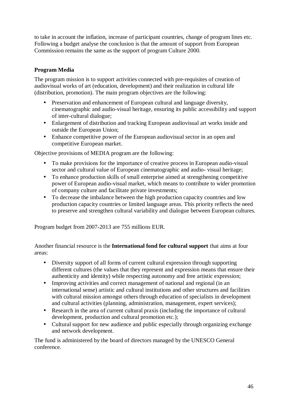to take in account the inflation, increase of participant countries, change of program lines etc. Following a budget analyse the conclusion is that the amount of support from European Commission remains the same as the support of program Culture 2000.

## **Program Media**

The program mission is to support activities connected with pre-requisites of creation of audiovisual works of art (education, development) and their realization in cultural life (distribution, promotion). The main program objectives are the following:

- Preservation and enhancement of European cultural and language diversity, cinematographic and audio-visual heritage, ensuring its public accessibility and support of inter-cultural dialogue;
- Enlargement of distribution and tracking European audiovisual art works inside and outside the European Union;
- Enhance competitive power of the European audiovisual sector in an open and competitive European market.

Objective provisions of MEDIA program are the following:

- To make provisions for the importance of creative process in European audio-visual sector and cultural value of European cinematographic and audio- visual heritage;
- To enhance production skills of small enterprise aimed at strengthening competitive power of European audio-visual market, which means to contribute to wider promotion of company culture and facilitate private investments;
- To decrease the imbalance between the high production capacity countries and low production capacity countries or limited language areas. This priority reflects the need to preserve and strengthen cultural variability and dialogue between European cultures.

Program budget from 2007-2013 are 755 millions EUR.

Another financial resource is the **International fond for cultural support** that aims at four areas:

- Diversity support of all forms of current cultural expression through supporting different cultures (the values that they represent and expression means that ensure their authenticity and identity) while respecting autonomy and free artistic expression;
- Improving activities and correct management of national and regional (in an international sense) artistic and cultural institutions and other structures and facilities with cultural mission amongst others through education of specialists in development and cultural activities (planning, administration, management, expert services);
- Research in the area of current cultural praxis (including the importance of cultural development, production and cultural promotion etc.);
- Cultural support for new audience and public especially through organizing exchange and network development.

The fund is administered by the board of directors managed by the UNESCO General conference.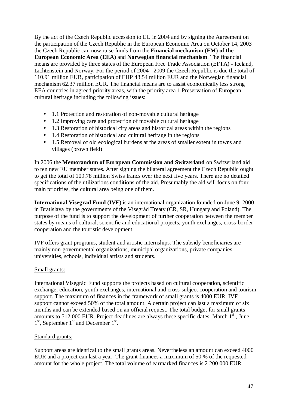By the act of the Czech Republic accession to EU in 2004 and by signing the Agreement on the participation of the Czech Republic in the European Economic Area on October 14, 2003 the Czech Republic can now raise funds from the **Financial mechanism (FM) of the European Economic Area (EEA)** and **Norwegian financial mechanism**. The financial means are provided by three states of the European Free Trade Association (EFTA) - Iceland, Lichtenstein and Norway. For the period of 2004 - 2009 the Czech Republic is due the total of 110.91 million EUR, participation of EHP 48.54 million EUR and the Norwegian financial mechanism 62.37 million EUR. The financial means are to assist economically less strong EEA countries in agreed priority areas, with the priority area 1 Preservation of European cultural heritage including the following issues:

- 1.1 Protection and restoration of non-movable cultural heritage
- 1.2 Improving care and protection of movable cultural heritage
- 1.3 Restoration of historical city areas and historical areas within the regions
- 1.4 Restoration of historical and cultural heritage in the regions
- 1.5 Removal of old ecological burdens at the areas of smaller extent in towns and villages (brown field)

In 2006 the **Memorandum of European Commission and Switzerland** on Switzerland aid to ten new EU member states. After signing the bilateral agreement the Czech Republic ought to get the total of 109.78 million Swiss francs over the next five years. There are no detailed specifications of the utilizations conditions of the aid. Presumably the aid will focus on four main priorities, the cultural area being one of them.

**International Visegrad Fund (IVF**) is an international organization founded on June 9, 2000 in Bratislava by the governments of the Visegrád Treaty (CR, SR, Hungary and Poland). The purpose of the fund is to support the development of further cooperation between the member states by means of cultural, scientific and educational projects, youth exchanges, cross-border cooperation and the touristic development.

IVF offers grant programs, student and artistic internships. The subsidy beneficiaries are mainly non-governmental organizations, municipal organizations, private companies, universities, schools, individual artists and students.

## Small grants:

International Visegrád Fund supports the projects based on cultural cooperation, scientific exchange, education, youth exchanges, international and cross-subject cooperation and tourism support. The maximum of finances in the framework of small grants is 4000 EUR. IVF support cannot exceed 50% of the total amount. A certain project can last a maximum of six months and can be extended based on an official request. The total budget for small grants amounts to 512 000 EUR. Project deadlines are always these specific dates: March  $1<sup>st</sup>$ , June 1<sup>st</sup>, September 1<sup>st</sup> and December 1<sup>st</sup>.

## Standard grants:

Support areas are identical to the small grants areas. Nevertheless an amount can exceed 4000 EUR and a project can last a year. The grant finances a maximum of 50 % of the requested amount for the whole project. The total volume of earmarked finances is 2 200 000 EUR.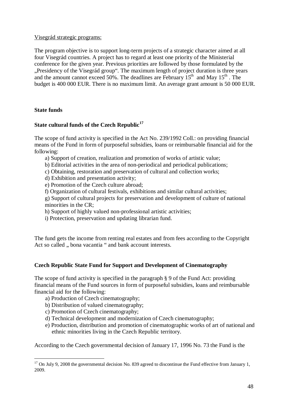Visegrád strategic programs:

The program objective is to support long-term projects of a strategic character aimed at all four Visegrád countries. A project has to regard at least one priority of the Ministerial conference for the given year. Previous priorities are followed by those formulated by the "Presidency of the Visegrád group". The maximum length of project duration is three years and the amount cannot exceed 50%. The deadlines are February  $15<sup>th</sup>$  and May  $15<sup>th</sup>$ . The budget is 400 000 EUR. There is no maximum limit. An average grant amount is 50 000 EUR.

## **State funds**

 $\overline{a}$ 

## **State cultural funds of the Czech Republic<sup>17</sup>**

The scope of fund activity is specified in the Act No. 239/1992 Coll.: on providing financial means of the Fund in form of purposeful subsidies, loans or reimbursable financial aid for the following:

- a) Support of creation, realization and promotion of works of artistic value;
- b) Editorial activities in the area of non-periodical and periodical publications;
- c) Obtaining, restoration and preservation of cultural and collection works;
- d) Exhibition and presentation activity;
- e) Promotion of the Czech culture abroad;
- f) Organization of cultural festivals, exhibitions and similar cultural activities;
- g) Support of cultural projects for preservation and development of culture of national minorities in the CR;
- h) Support of highly valued non-professional artistic activities;
- i) Protection, preservation and updating librarian fund.

The fund gets the income from renting real estates and from fees according to the Copyright Act so called , bona vacantia " and bank account interests.

## **Czech Republic State Fund for Support and Development of Cinematography**

The scope of fund activity is specified in the paragraph § 9 of the Fund Act: providing financial means of the Fund sources in form of purposeful subsidies, loans and reimbursable financial aid for the following:

- a) Production of Czech cinematography;
- b) Distribution of valued cinematography;
- c) Promotion of Czech cinematography;
- d) Technical development and modernization of Czech cinematography;
- e) Production, distribution and promotion of cinematographic works of art of national and ethnic minorities living in the Czech Republic territory.

According to the Czech governmental decision of January 17, 1996 No. 73 the Fund is the

 $17$  On July 9, 2008 the governmental decision No. 839 agreed to discontinue the Fund effective from January 1, 2009.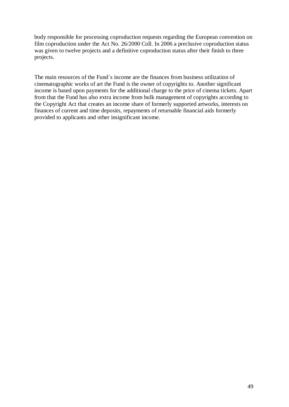body responsible for processing coproduction requests regarding the European convention on film coproduction under the Act No. 26/2000 Coll. In 2006 a preclusive coproduction status was given to twelve projects and a definitive coproduction status after their finish to three projects.

The main resources of the Fund´s income are the finances from business utilization of cinematographic works of art the Fund is the owner of copyrights to. Another significant income is based upon payments for the additional charge to the price of cinema tickets. Apart from that the Fund has also extra income from bulk management of copyrights according to the Copyright Act that creates an income share of formerly supported artworks, interests on finances of current and time deposits, repayments of returnable financial aids formerly provided to applicants and other insignificant income.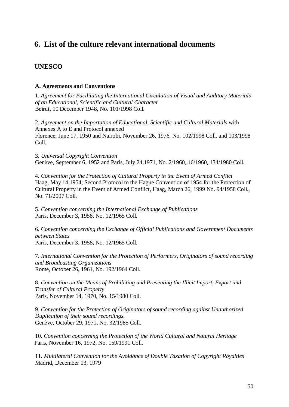## **6. List of the culture relevant international documents**

## **UNESCO**

#### **A. Agreements and Conventions**

1. *Agreement for Facilitating the International Circulation of Visual and Auditory Materials of an Educational, Scientific and Cultural Character*  Beirut, 10 December 1948, No. 101/1998 Coll.

2. *Agreement on the Importation of Educational, Scientific and Cultural Materials* with Annexes A to E and Protocol annexed Florence, June 17, 1950 and Nairobi, November 26, 1976, No. 102/1998 Coll. and 103/1998 Coll.

3. *Universal Copyright Convention* Genève, September 6, 1952 and Paris, July 24,1971, No. 2/1960, 16/1960, 134/1980 Coll.

4. *Convention for the Protection of Cultural Property in the Event of Armed Conflict* Haag, May 14,1954; Second Protocol to the Hague Convention of 1954 for the Protection of Cultural Property in the Event of Armed Conflict, Haag, March 26, 1999 No. 94/1958 Coll., No. 71/2007 Coll.

5. *Convention concerning the International Exchange of Publications* Paris, December 3, 1958, No. 12/1965 Coll.

6. *Convention concerning the Exchange of Official Publications and Government Documents between States* Paris, December 3, 1958, No. 12/1965 Coll.

7. *International Convention for the Protection of Performers, Originators of sound recording and Broadcasting Organizations*  Rome, October 26, 1961, No. 192/1964 Coll.

8. *Convention on the Means of Prohibiting and Preventing the Illicit Import, Export and Transfer of Cultural Property*  Paris, November 14, 1970, No. 15/1980 Coll.

9. *Convention for the Protection of Originators of sound recording against Unauthorized Duplication of their sound recordings.*  Genève, October 29, 1971, No. 32/1985 Coll.

10. *Convention concerning the Protection of the World Cultural and Natural Heritage* Paris, November 16, 1972, No. 159/1991 Coll.

11. *Multilateral Convention for the Avoidance of Double Taxation of Copyright Royalties* Madrid, December 13, 1979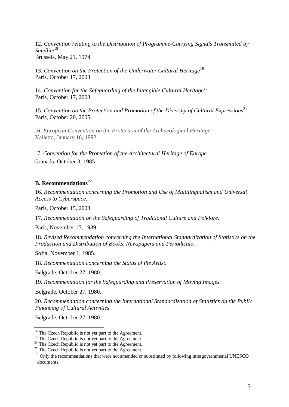12. *Convention relating to the Distribution of Programme-Carrying Signals Transmitted by Satellite*<sup>18</sup> Brussels, May 21, 1974

13. *Convention on the Protection of the Underwater Cultural Heritage*<sup>19</sup> Paris, October 17, 2003

14. *Convention for the Safeguarding of the Intangible Cultural Heritage*<sup>20</sup> Paris, October 17, 2003

15. *Convention on the Protection and Promotion of the Diversity of Cultural Expressions*<sup>21</sup> Paris, October 20, 2005

16. *European Convention on the Protection of the Archaeological Heritage*  Valletta, January 16, 1992

17. *Convention for the Protection of the Architectural Heritage of Europe*  Granada, October 3, 1985

## **B. Recommendations<sup>22</sup>**

16. *Recommendation concerning the Promotion and Use of Multilingualism and Universal Access to Cyberspace.* 

Paris, October 15, 2003.

17. *Recommendation on the Safeguarding of Traditional Culture and Folklore.* 

Paris, November 15, 1989.

18. *Revised Recommendation concerning the International Standardization of Statistics on the Production and Distribution of Books, Newspapers and Periodicals.* 

Sofia, November 1, 1985.

18. *Recommendation concerning the Status of the Artist.* 

Belgrade, October 27, 1980.

19. *Recommendation for the Safeguarding and Preservation of Moving Images.* 

Belgrade, October 27, 1980.

20. *Recommendation concerning the International Standardization of Statistics on the Public Financing of Cultural Activities.* 

Belgrade, October 27, 1980.

 $\overline{a}$ 

 $18$  The Czech Republic is not yet part to the Agreement.

<sup>&</sup>lt;sup>19</sup> The Czech Republic is not yet part to the Agreement.

<sup>&</sup>lt;sup>20</sup> The Czech Republic is not yet part to the Agreement.

 $^{21}$  The Czech Republic is not yet part to the Agreement.

<sup>&</sup>lt;sup>22</sup> Only the recommendations that were not amended or substituted by following intergovernmental UNESCO documents.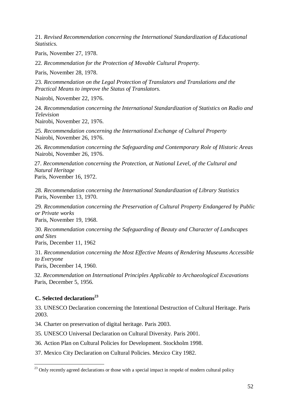21. *Revised Recommendation concerning the International Standardization of Educational Statistics.* 

Paris, November 27, 1978.

22. *Recommendation for the Protection of Movable Cultural Property.* 

Paris, November 28, 1978.

23. *Recommendation on the Legal Protection of Translators and Translations and the Practical Means to improve the Status of Translators.* 

Nairobi, November 22, 1976.

24. *Recommendation concerning the International Standardization of Statistics on Radio and Television* 

Nairobi, November 22, 1976.

25. *Recommendation concerning the International Exchange of Cultural Property* Nairobi, November 26, 1976.

26. *Recommendation concerning the Safeguarding and Contemporary Role of Historic Areas* Nairobi, November 26, 1976.

27. *Recommendation concerning the Protection, at National Level, of the Cultural and Natural Heritage* Paris, November 16, 1972.

28. *Recommendation concerning the International Standardization of Library Statistics*  Paris, November 13, 1970.

29. *Recommendation concerning the Preservation of Cultural Property Endangered by Public or Private works* Paris, November 19, 1968.

30. *Recommendation concerning the Safeguarding of Beauty and Character of Landscapes and Sites*

Paris, December 11, 1962

31. *Recommendation concerning the Most Effective Means of Rendering Museums Accessible to Everyone*

Paris, December 14, 1960.

32. *Recommendation on International Principles Applicable to Archaeological Excavations* Paris, December 5, 1956.

## **C. Selected declarations<sup>23</sup>**

 $\overline{a}$ 

33. UNESCO Declaration concerning the Intentional Destruction of Cultural Heritage. Paris 2003.

34. Charter on preservation of digital heritage. Paris 2003.

35. UNESCO Universal Declaration on Cultural Diversity. Paris 2001.

36. Action Plan on Cultural Policies for Development. Stockholm 1998.

37. Mexico City Declaration on Cultural Policies. Mexico City 1982.

 $23$  Only recently agreed declarations or those with a special impact in respekt of modern cultural policy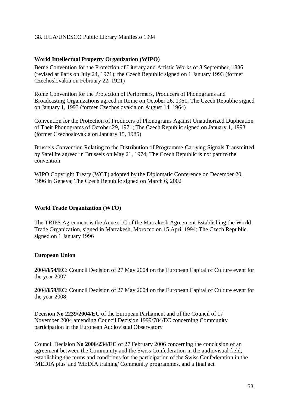#### 38. IFLA/UNESCO Public Library Manifesto 1994

#### **World Intellectual Property Organization (WIPO)**

Berne Convention for the Protection of Literary and Artistic Works of 8 September, 1886 (revised at Paris on July 24, 1971); the Czech Republic signed on 1 January 1993 (former Czechoslovakia on February 22, 1921)

Rome Convention for the Protection of Performers, Producers of Phonograms and Broadcasting Organizations agreed in Rome on October 26, 1961; The Czech Republic signed on January 1, 1993 (former Czechoslovakia on August 14, 1964)

Convention for the Protection of Producers of Phonograms Against Unauthorized Duplication of Their Phonograms of October 29, 1971; The Czech Republic signed on January 1, 1993 (former Czechoslovakia on January 15, 1985)

Brussels Convention Relating to the Distribution of Programme-Carrying Signals Transmitted by Satellite agreed in Brussels on May 21, 1974; The Czech Republic is not part to the convention

WIPO Copyright Treaty (WCT) adopted by the Diplomatic Conference on December 20, 1996 in Geneva; The Czech Republic signed on March 6, 2002

## **World Trade Organization (WTO)**

The TRIPS Agreement is the Annex 1C of the Marrakesh Agreement Establishing the World Trade Organization, signed in Marrakesh, Morocco on 15 April 1994; The Czech Republic signed on 1 January 1996

#### **European Union**

**2004/654/EC**: Council Decision of 27 May 2004 on the European Capital of Culture event for the year 2007

**2004/659/EC**: Council Decision of 27 May 2004 on the European Capital of Culture event for the year 2008

Decision **No 2239/2004/EC** of the European Parliament and of the Council of 17 November 2004 amending Council Decision 1999/784/EC concerning Community participation in the European Audiovisual Observatory

Council Decision **No 2006/234/EC** of 27 February 2006 concerning the conclusion of an agreement between the Community and the Swiss Confederation in the audiovisual field, establishing the terms and conditions for the participation of the Swiss Confederation in the 'MEDIA plus' and 'MEDIA training' Community programmes, and a final act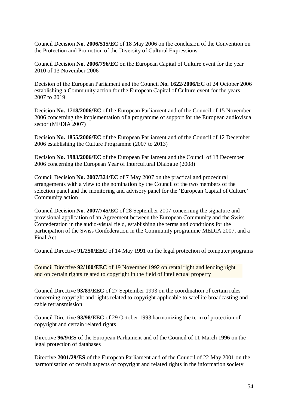Council Decision **No. 2006/515/EC** of 18 May 2006 on the conclusion of the Convention on the Protection and Promotion of the Diversity of Cultural Expressions

Council Decision **No. 2006/796/EC** on the European Capital of Culture event for the year 2010 of 13 November 2006

Decision of the European Parliament and the Council **No. 1622/2006/EC** of 24 October 2006 establishing a Community action for the European Capital of Culture event for the years 2007 to 2019

Decision **No. 1718/2006/EC** of the European Parliament and of the Council of 15 November 2006 concerning the implementation of a programme of support for the European audiovisual sector (MEDIA 2007)

Decision **No. 1855/2006/EC** of the European Parliament and of the Council of 12 December 2006 establishing the Culture Programme (2007 to 2013)

Decision **No. 1983/2006/EC** of the European Parliament and the Council of 18 December 2006 concerning the European Year of Intercultural Dialogue (2008)

Council Decision **No. 2007/324/EC** of 7 May 2007 on the practical and procedural arrangements with a view to the nomination by the Council of the two members of the selection panel and the monitoring and advisory panel for the 'European Capital of Culture' Community action

Council Decision **No. 2007/745/EC** of 28 September 2007 concerning the signature and provisional application of an Agreement between the European Community and the Swiss Confederation in the audio-visual field, establishing the terms and conditions for the participation of the Swiss Confederation in the Community programme MEDIA 2007, and a Final Act

Council Directive **91/250/EEC** of 14 May 1991 on the legal protection of computer programs

Council Directive **92/100/EEC** of 19 November 1992 on rental right and lending right and on certain rights related to copyright in the field of intellectual property

Council Directive **93/83/EEC** of 27 September 1993 on the coordination of certain rules concerning copyright and rights related to copyright applicable to satellite broadcasting and cable retransmission

Council Directive **93/98/EEC** of 29 October 1993 harmonizing the term of protection of copyright and certain related rights

Directive **96/9/ES** of the European Parliament and of the Council of 11 March 1996 on the legal protection of databases

Directive **2001/29/ES** of the European Parliament and of the Council of 22 May 2001 on the harmonisation of certain aspects of copyright and related rights in the information society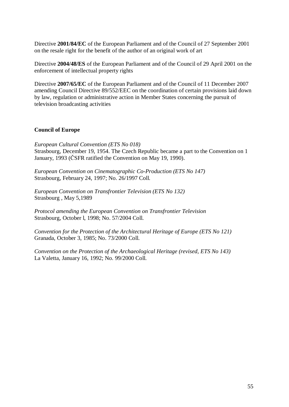Directive **2001/84/EC** of the European Parliament and of the Council of 27 September 2001 on the resale right for the benefit of the author of an original work of art

Directive **2004/48/ES** of the European Parliament and of the Council of 29 April 2001 on the enforcement of intellectual property rights

Directive **2007/65/EC** of the European Parliament and of the Council of 11 December 2007 amending Council Directive 89/552/EEC on the coordination of certain provisions laid down by law, regulation or administrative action in Member States concerning the pursuit of television broadcasting activities

## **Council of Europe**

*European Cultural Convention (ETS No 018)*  Strasbourg, December 19, 1954. The Czech Republic became a part to the Convention on 1 January, 1993 (ČSFR ratified the Convention on May 19, 1990).

*European Convention on Cinematographic Co-Production (ETS No 147)*  Strasbourg, February 24, 1997; No. 26/1997 Coll.

*European Convention on Transfrontier Television (ETS No 132)*  Strasbourg , May 5,1989

*Protocol amending the European Convention on Transfrontier Television*  Strasbourg, October l, 1998; No. 57/2004 Coll.

*Convention for the Protection of the Architectural Heritage of Europe (ETS No 121)*  Granada, October 3, 1985; No. 73/2000 Coll.

*Convention on the Protection of the Archaeological Heritage (revised, ETS No 143)*  La Valetta, January 16, 1992; No. 99/2000 Coll.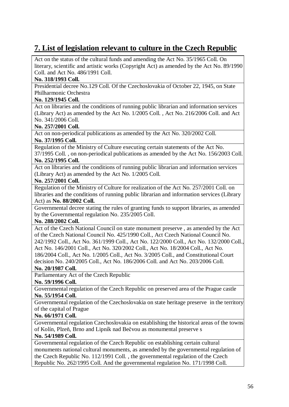# **7. List of legislation relevant to culture in the Czech Republic**

Act on the status of the cultural funds and amending the Act No. 35/1965 Coll. On literary, scientific and artistic works (Copyright Act) as amended by the Act No. 89/1990 Coll. and Act No. 486/1991 Coll.

## **No. 318/1993 Coll.**

Presidential decree No.129 Coll. Of the Czechoslovakia of October 22, 1945, on State Philharmonic Orchestra

#### **No. 129/1945 Coll.**

Act on libraries and the conditions of running public librarian and information services (Library Act) as amended by the Act No. 1/2005 Coll. , Act No. 216/2006 Coll. and Act No. 341/2006 Coll.

#### **No. 257/2001 Coll.**

Act on non-periodical publications as amended by the Act No. 320/2002 Coll.

## **No. 37/1995 Coll.**

Regulation of the Ministry of Culture executing certain statements of the Act No. 37/1995 Coll. , on non-periodical publications as amended by the Act No. 156/2003 Coll.

#### **No. 252/1995 Coll.**

Act on libraries and the conditions of running public librarian and information services (Library Act) as amended by the Act No. 1/2005 Coll.

#### **No. 257/2001 Coll.**

Regulation of the Ministry of Culture for realization of the Act No. 257/2001 Coll. on libraries and the conditions of running public librarian and information services (Library Act) as **No. 88/2002 Coll.** 

Governmental decree stating the rules of granting funds to support libraries, as amended by the Governmental regulation No. 235/2005 Coll.

#### **No. 288/2002 Coll.**

Act of the Czech National Council on state monument preserve , as amended by the Act of the Czech National Council No. 425/1990 Coll., Act Czech National Council No. 242/1992 Coll., Act No. 361/1999 Coll., Act No. 122/2000 Coll., Act No. 132/2000 Coll., Act No. 146/2001 Coll., Act No. 320/2002 Coll., Act No. 18/2004 Coll., Act No. 186/2004 Coll., Act No. 1/2005 Coll., Act No. 3/2005 Coll., and Constitutional Court decision No. 240/2005 Coll., Act No. 186/2006 Coll. and Act No. 203/2006 Coll.

## **No. 20/1987 Coll.**

Parliamentary Act of the Czech Republic

#### **No. 59/1996 Coll.**

Governmental regulation of the Czech Republic on preserved area of the Prague castle **No. 55/1954 Coll.** 

Governmental regulation of the Czechoslovakia on state heritage preserve in the territory of the capital of Prague

## **No. 66/1971 Coll.**

Governmental regulation Czechoslovakia on establishing the historical areas of the towns of Kolín, Plzeň, Brno and Lipník nad Bečvou as monumental preserve s

#### **No. 54/1989 Coll.**

Governmental regulation of the Czech Republic on establishing certain cultural monuments national cultural monuments, as amended by the governmental regulation of the Czech Republic No. 112/1991 Coll. , the governmental regulation of the Czech Republic No. 262/1995 Coll. And the governmental regulation No. 171/1998 Coll.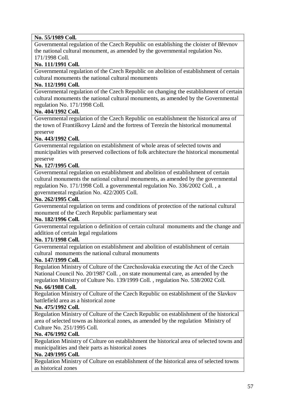## **No. 55/1989 Coll.**

Governmental regulation of the Czech Republic on establishing the cloister of Břevnov the national cultural monument, as amended by the governmental regulation No. 171/1998 Coll.

## **No. 111/1991 Coll.**

Governmental regulation of the Czech Republic on abolition of establishment of certain cultural monuments the national cultural monuments

#### **No. 112/1991 Coll.**

Governmental regulation of the Czech Republic on changing the establishment of certain cultural monuments the national cultural monuments, as amended by the Governmental regulation No. 171/1998 Coll.

#### **No. 404/1992 Coll.**

Governmental regulation of the Czech Republic on establishment the historical area of the town of Františkovy Lázně and the fortress of Terezín the historical monumental preserve

## **No. 443/1992 Coll.**

Governmental regulation on establishment of whole areas of selected towns and municipalities with preserved collections of folk architecture the historical monumental preserve

#### **No. 127/1995 Coll.**

Governmental regulation on establishment and abolition of establishment of certain cultural monuments the national cultural monuments, as amended by the governmental regulation No. 171/1998 Coll. a governmental regulation No. 336/2002 Coll. , a governmental regulation No. 422/2005 Coll.

#### **No. 262/1995 Coll.**

Governmental regulation on terms and conditions of protection of the national cultural monument of the Czech Republic parliamentary seat

#### **No. 182/1996 Coll.**

Governmental regulation o definition of certain cultural monuments and the change and addition of certain legal regulations

#### **No. 171/1998 Coll.**

Governmental regulation on establishment and abolition of establishment of certain cultural monuments the national cultural monuments

#### **No. 147/1999 Coll.**

Regulation Ministry of Culture of the Czechoslovakia executing the Act of the Czech National Council No. 20/1987 Coll. , on state monumental care, as amended by the regulation Ministry of Culture No. 139/1999 Coll. , regulation No. 538/2002 Coll.

## **No. 66/1988 Coll.**

Regulation Ministry of Culture of the Czech Republic on establishment of the Slavkov battlefield area as a historical zone

#### **No. 475/1992 Coll.**

Regulation Ministry of Culture of the Czech Republic on establishment of the historical area of selected towns as historical zones, as amended by the regulation Ministry of Culture No. 251/1995 Coll.

#### **No. 476/1992 Coll.**

Regulation Ministry of Culture on establishment the historical area of selected towns and municipalities and their parts as historical zones

#### **No. 249/1995 Coll.**

Regulation Ministry of Culture on establishment of the historical area of selected towns as historical zones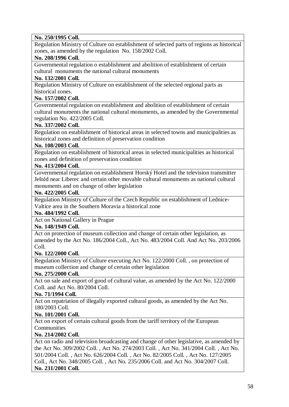## **No. 250/1995 Coll.**

Regulation Ministry of Culture on establishment of selected parts of regions as historical zones, as amended by the regulation No. 158/2002 Coll.

### **No. 208/1996 Coll.**

Governmental regulation o establishment and abolition of establishment of certain cultural monuments the national cultural monuments

#### **No. 132/2001 Coll.**

Regulation Ministry of Culture on establishment of the selected regional parts as historical zones.

## **No. 157/2002 Coll.**

Governmental regulation on establishment and abolition of establishment of certain cultural monuments the national cultural monuments, as amended by the Governmental regulation No. 422/2005 Coll.

#### **No. 337/2002 Coll.**

Regulation on establishment of historical areas in selected towns and municipalities as historical zones and definition of preservation condition

#### **No. 108/2003 Coll.**

Regulation on establishment of historical areas in selected municipalities as historical zones and definition of preservation condition

#### **No. 413/2004 Coll.**

Governmental regulation on establishment Horský Hotel and the television transmitter Ještěd near Liberec and certain other movable cultural monuments as national cultural monuments and on change of other legislation

#### **No. 422/2005 Coll.**

Regulation Ministry of Culture of the Czech Republic on establishment of Lednice-Valtice area in the Southern Moravia a historical zone

#### **No. 484/1992 Coll.**

Act on National Gallery in Prague

## **No. 148/1949 Coll.**

Act on protection of museum collection and change of certain other legislation, as amended by the Act No. 186/2004 Coll., Act No. 483/2004 Coll. And Act No. 203/2006 Coll.

#### **No. 122/2000 Coll.**

Regulation Ministry of Culture executing Act No. 122/2000 Coll. , on protection of museum collection and change of certain other legislation

## **No. 275/2000 Coll.**

Act on sale and export of good of cultural value, as amended by the Act No. 122/2000 Coll. and Act No. 80/2004 Coll.

## **No. 71/1994 Coll.**

Act on repatriation of illegally exported cultural goods, as amended by the Act No. 180/2003 Coll.

## **No. 101/2001 Coll.**

Act on export of certain cultural goods from the tariff territory of the European Communities

## **No. 214/2002 Coll.**

Act on radio and television broadcasting and change of other legislative, as amended by the Act No. 309/2002 Coll. , Act No. 274/2003 Coll. , Act No. 341/2004 Coll. , Act No. 501/2004 Coll. , Act No. 626/2004 Coll. , Act No. 82/2005 Coll. , Act No. 127/2005 Coll., Act No. 348/2005 Coll. , Act No. 235/2006 Coll. and Act No. 304/2007 Coll. **No. 231/2001 Coll.**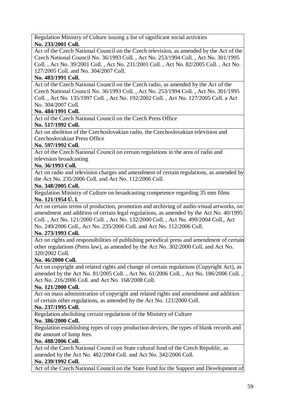Regulation Ministry of Culture issuing a list of significant social activities **No. 233/2001 Coll.** 

Act of the Czech National Council on the Czech television, as amended by the Act of the Czech National Council No. 36/1993 Coll. , Act No. 253/1994 Coll. , Act No. 301/1995 Coll. , Act No. 39/2001 Coll. , Act No. 231/2001 Coll. , Act No. 82/2005 Coll. , Act No. 127/2005 Coll. and No. 304/2007 Coll.

## **No. 483/1991 Coll.**

Act of the Czech National Council on the Czech radio, as amended by the Act of the Czech National Council No. 36/1993 Coll. , Act No. 253/1994 Coll. , Act No. 301/1995 Coll. , Act No. 135/1997 Coll. , Act No. 192/2002 Coll. , Act No. 127/2005 Coll. a Act No. 304/2007 Coll.

## **No. 484/1991 Coll.**

Act of the Czech National Council on the Czech Press Office

## **No. 517/1992 Coll.**

Act on abolition of the Czechoslovakian radio, the Czechoslovakian television and Czechoslovakian Press Office

## **No. 597/1992 Coll.**

Act of the Czech National Council on certain regulations in the area of radio and television broadcasting

## **No. 36/1993 Coll.**

Act on radio and television charges and amendment of certain regulations, as amended by the Act No. 235/2006 Coll. and Act No. 112/2006 Coll.

#### **No. 348/2005 Coll.**

Regulation Ministry of Culture on broadcasting competence regarding 35 mm films **No. 121/1954 Ú. l.**

Act on certain terms of production, promotion and archiving of audio-visual artworks, on amendment and addition of certain legal regulations, as amended by the Act No. 40/1995 Coll. , Act No. 121/2000 Coll. , Act No. 132/2000 Coll. , Act No. 499/2004 Coll., Act No. 249/2006 Coll., Act No. 235/2006 Coll. and Act No. 112/2006 Coll.

## **No. 273/1993 Coll.**

Act on rights and responsibilities of publishing periodical press and amendment of certain other regulations (Press law), as amended by the Act No. 302/2000 Coll. and Act No. 320/2002 Coll.

## **No. 46/2000 Coll.**

Act on copyright and related rights and change of certain regulations (Copyright Act), as amended by the Act No. 81/2005 Coll. , Act No. 61/2006 Coll. , Act No. 186/2006 Coll. , Act No. 216/2006 Coll. and Act No. 168/2008 Coll.

## **No. 121/2000 Coll.**

Act on mass administration of copyright and related rights and amendment and addition of certain other regulations, as amended by the Act No. 121/2000 Coll.

## **No. 237/1995 Coll.**

Regulation abolishing certain regulations of the Ministry of Culture

## **No. 386/2000 Coll.**

Regulation establishing types of copy production devices, the types of blank records and the amount of lump fees.

## **No. 488/2006 Coll.**

Act of the Czech National Council on State cultural fund of the Czech Republic, as amended by the Act No. 482/2004 Coll. and Act No. 342/2006 Coll.

## **No. 239/1992 Coll.**

Act of the Czech National Council on the State Fund for the Support and Development of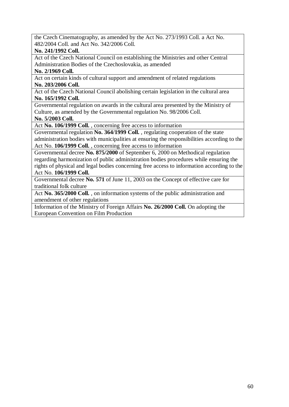the Czech Cinematography, as amended by the Act No. 273/1993 Coll. a Act No. 482/2004 Coll. and Act No. 342/2006 Coll.

#### **No. 241/1992 Coll.**

Act of the Czech National Council on establishing the Ministries and other Central Administration Bodies of the Czechoslovakia, as amended

### **No. 2/1969 Coll.**

Act on certain kinds of cultural support and amendment of related regulations **No. 203/2006 Coll.** 

Act of the Czech National Council abolishing certain legislation in the cultural area **No. 165/1992 Coll.** 

Governmental regulation on awards in the cultural area presented by the Ministry of Culture, as amended by the Governmental regulation No. 98/2006 Coll.

**No. 5/2003 Coll.** 

Act **No. 106/1999 Coll.** , concerning free access to information

Governmental regulation **No. 364/1999 Coll.** , regulating cooperation of the state administration bodies with municipalities at ensuring the responsibilities according to the Act No. **106/1999 Coll.** , concerning free access to information

Governmental decree **No. 875/2000** of September 6, 2000 on Methodical regulation regarding harmonization of public administration bodies procedures while ensuring the rights of physical and legal bodies concerning free access to information according to the Act No. **106/1999 Coll.** 

Governmental decree **No. 571** of June 11, 2003 on the Concept of effective care for traditional folk culture

Act **No. 365/2000 Coll.** , on information systems of the public administration and amendment of other regulations

Information of the Ministry of Foreign Affairs **No. 26/2000 Coll.** On adopting the European Convention on Film Production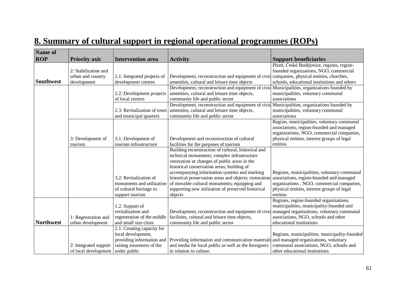| <b>Name of</b>   |                                                          |                                                                                             |                                                                                                                                                                                  |                                                                                                                                                                    |
|------------------|----------------------------------------------------------|---------------------------------------------------------------------------------------------|----------------------------------------------------------------------------------------------------------------------------------------------------------------------------------|--------------------------------------------------------------------------------------------------------------------------------------------------------------------|
| <b>ROP</b>       | <b>Priority axis</b>                                     | <b>Intervention area</b>                                                                    | <b>Activity</b>                                                                                                                                                                  | <b>Support beneficiaries</b>                                                                                                                                       |
| <b>Southwest</b> | 2: Stabilization and<br>urban and country<br>development | 2.1: Integrated projects of<br>development centres                                          | Development, reconstruction and equipment of civid companies, physical entities, churches,<br>amenities, cultural and leisure time objects                                       | Plzeň, České Budějovice, regions, region-<br>founded organizations, NGO, commercial<br>schools, educational institutions and others                                |
|                  |                                                          | 2.2: Development projects<br>of local centres                                               | Development, reconstruction and equipment of civid Municipalities, organizations founded by<br>amenities, cultural and leisure time objects,<br>community life and public sector | municipalities, voluntary communal<br>associations                                                                                                                 |
|                  |                                                          | 2.3: Revitalization of town<br>and municipal quarters                                       | Development, reconstruction and equipment of civid Municipalities, organizations founded by<br>amenities, cultural and leisure time objects,<br>community life and public sector | municipalities, voluntary communal<br>associations                                                                                                                 |
|                  |                                                          |                                                                                             |                                                                                                                                                                                  | Region, municipalities, voluntary communal<br>associations, region-founded and managed<br>organizations, NGO, commercial companies,                                |
|                  | 3: Development of                                        | 3.1: Development of                                                                         | Development and reconstruction of cultural                                                                                                                                       | physical entities, interest groups of legal                                                                                                                        |
|                  | tourism                                                  | tourism infrastructure                                                                      | facilities for the purposes of tourism                                                                                                                                           | entities                                                                                                                                                           |
|                  |                                                          |                                                                                             | Building reconstruction of cultural, historical and                                                                                                                              |                                                                                                                                                                    |
|                  |                                                          |                                                                                             | technical monuments; complex infrastructure<br>renovation or changes of public areas in the                                                                                      |                                                                                                                                                                    |
|                  |                                                          |                                                                                             | historical conservation areas; building of                                                                                                                                       |                                                                                                                                                                    |
|                  |                                                          |                                                                                             | accompanying information systems and marking                                                                                                                                     | Regions, municipalities, voluntary communal                                                                                                                        |
|                  |                                                          | 3.2: Revitalization of                                                                      | historical preservation areas and objects; restoration                                                                                                                           | associations, region-founded and managed                                                                                                                           |
|                  |                                                          | monuments and utilization                                                                   | of movable cultural monuments; equipping and                                                                                                                                     | organizations, NGO, commercial companies,                                                                                                                          |
|                  |                                                          | of cultural heritage to                                                                     | supporting new utilization of preserved historical                                                                                                                               | physical entities, interest groups of legal                                                                                                                        |
|                  |                                                          | support tourism                                                                             | objects                                                                                                                                                                          | entities                                                                                                                                                           |
|                  |                                                          | 1.2: Support of                                                                             |                                                                                                                                                                                  | Regions, region-founded organizations,<br>municipalities, municipality-founded and                                                                                 |
|                  |                                                          | revitalization and                                                                          | Development, reconstruction and equipment of civid managed organizations, voluntary communal                                                                                     |                                                                                                                                                                    |
|                  | 1: Regeneration and                                      | regeneration of the middle                                                                  | facilities, cultural and leisure time objects,                                                                                                                                   | associations, NGO, schools and other                                                                                                                               |
| <b>Northwest</b> | urban development                                        | and small size cities                                                                       | community life and public sector                                                                                                                                                 | educational institutions                                                                                                                                           |
|                  |                                                          | 2.1: Creating capacity for                                                                  |                                                                                                                                                                                  |                                                                                                                                                                    |
|                  |                                                          |                                                                                             |                                                                                                                                                                                  |                                                                                                                                                                    |
|                  |                                                          |                                                                                             |                                                                                                                                                                                  |                                                                                                                                                                    |
|                  |                                                          |                                                                                             |                                                                                                                                                                                  |                                                                                                                                                                    |
|                  | 2: Integrated support<br>of local development            | local development,<br>providing information and<br>raising awareness of the<br>wider public | Providing information and communication materials<br>and media for local public as well as the foreigners<br>in relation to culture.                                             | Regions, municipalities, municipality-founded<br>and managed organizations, voluntary<br>communal associations, NGO, schools and<br>other educational institutions |

# **8. Summary of cultural support in regional operational programmes (ROPs)**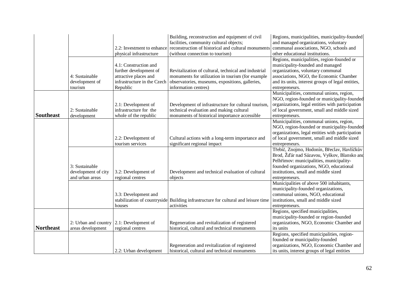|                  |                                                          | 2.2: Investment to enhance<br>physical infrastructure                                                               | Building, reconstruction and equipment of civil<br>facilities, community cultural objects;<br>reconstruction of historical and cultural monuments<br>(without connection to tourism) | Regions, municipalities, municipality-founded<br>and managed organizations, voluntary<br>communal associations, NGO, schools and<br>other educational institutions.                                                                         |
|------------------|----------------------------------------------------------|---------------------------------------------------------------------------------------------------------------------|--------------------------------------------------------------------------------------------------------------------------------------------------------------------------------------|---------------------------------------------------------------------------------------------------------------------------------------------------------------------------------------------------------------------------------------------|
|                  | 4: Sustainable<br>development of<br>tourism              | 4.1: Construction and<br>further development of<br>attractive places and<br>infrastructure in the Czech<br>Republic | Revitalization of cultural, technical and industrial<br>monuments for utilization in tourism (for example<br>observatories, museums, expositions, galleries,<br>information centres) | Regions, municipalities, region-founded or<br>municipality-founded and managed<br>organizations, voluntary communal<br>associations, NGO, the Economic Chamber<br>and its units, interest groups of legal entities,<br>entrepreneurs.       |
| <b>Southeast</b> | 2: Sustainable<br>development                            | 2.1: Development of<br>infrastructure for the<br>whole of the republic                                              | Development of infrastructure for cultural tourism,<br>technical evaluation and making cultural<br>monuments of historical importance accessible                                     | Municipalities, communal unions, region,<br>NGO, region-founded or municipality-founded<br>organizations, legal entities with participation<br>of local government, small and middle sized<br>entrepreneurs.                                |
|                  |                                                          | 2.2: Development of<br>tourism services                                                                             | Cultural actions with a long-term importance and<br>significant regional impact                                                                                                      | Municipalities, communal unions, region,<br>NGO, region-founded or municipality-founded<br>organizations, legal entities with participation<br>of local government, small and middle sized<br>entrepreneurs.                                |
|                  | 3: Sustainable<br>development of city<br>and urban areas | 3.2: Development of<br>regional centres                                                                             | Development and technical evaluation of cultural<br>objects                                                                                                                          | Třebíč, Znojmo, Hodonín, Břeclav, Havlíčkův<br>Brod, Žďár nad Sázavou, Vyškov, Blansko and<br>Pelhřimov: municipalities, municipality-<br>founded organizations, NGO, educational<br>institutions, small and middle sized<br>entrepreneurs. |
|                  |                                                          | 3.3: Development and<br>stabilization of countryside<br>houses                                                      | Building infrastructure for cultural and leisure time<br>activities                                                                                                                  | Municipalities of above 500 inhabitants,<br>municipality-founded organizations,<br>communal unions, NGO, educational<br>institutions, small and middle sized<br>entrepreneurs.                                                              |
| <b>Northeast</b> | 2: Urban and country<br>areas development                | 2.1: Development of<br>regional centres                                                                             | Regeneration and revitalization of registered<br>historical, cultural and technical monuments                                                                                        | Regions, specified municipalities,<br>municipality-founded or region-founded<br>organizations, NGO, Economic Chamber and<br>its units<br>Regions, specified municipalities, region-                                                         |
|                  |                                                          | 2.2: Urban development                                                                                              | Regeneration and revitalization of registered<br>historical, cultural and technical monuments                                                                                        | founded or municipality-founded<br>organizations, NGO, Economic Chamber and<br>its units, interest groups of legal entities                                                                                                                 |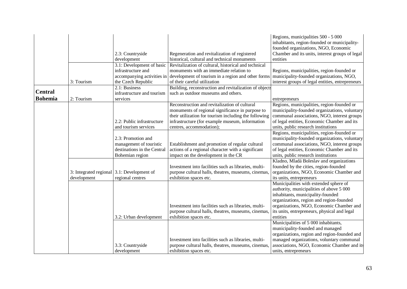|                |                                                           | 2.3: Countryside<br>development                                                                 | Regeneration and revitalization of registered<br>historical, cultural and technical monuments                                                                                                                 | Regions, municipalities 500 - 5 000<br>inhabitants, region-founded or municipality-<br>founded organizations, NGO, Economic<br>Chamber and its units, interest groups of legal<br>entities                                                                                  |
|----------------|-----------------------------------------------------------|-------------------------------------------------------------------------------------------------|---------------------------------------------------------------------------------------------------------------------------------------------------------------------------------------------------------------|-----------------------------------------------------------------------------------------------------------------------------------------------------------------------------------------------------------------------------------------------------------------------------|
|                |                                                           | 3.1: Development of basic<br>infrastructure and<br>accompanying activities in                   | Revitalization of cultural, historical and technical<br>monuments with an immediate relation to<br>development of tourism in a region and other forms municipality-founded organizations, NGO,                | Regions, municipalities, region-founded or                                                                                                                                                                                                                                  |
|                | 3: Tourism                                                | the Czech Republic<br>2.1: Business                                                             | of their careful utilization                                                                                                                                                                                  | interest groups of legal entities, entrepreneurs                                                                                                                                                                                                                            |
| <b>Central</b> |                                                           | infrastructure and tourism                                                                      | Building, reconstruction and revitalization of objects<br>such as outdoor museums and others.                                                                                                                 |                                                                                                                                                                                                                                                                             |
| <b>Bohemia</b> | 2: Tourism                                                | services                                                                                        |                                                                                                                                                                                                               |                                                                                                                                                                                                                                                                             |
|                |                                                           | 2.2: Public infrastructure                                                                      | Reconstruction and revitalization of cultural<br>monuments of regional significance in purpose to<br>their utilization for tourism including the following<br>infrastructure (for example museum, information | entrepreneurs<br>Regions, municipalities, region-founded or<br>municipality-founded organizations, voluntary<br>communal associations, NGO, interest groups<br>of legal entities, Economic Chamber and its                                                                  |
|                |                                                           | and tourism services                                                                            | centres, accommodation);                                                                                                                                                                                      | units, public research institutions                                                                                                                                                                                                                                         |
|                |                                                           | 2.3: Promotion and<br>management of touristic<br>destinations in the Central<br>Bohemian region | Establishment and promotion of regular cultural<br>actions of a regional character with a significant<br>impact on the development in the CR                                                                  | Regions, municipalities, region-founded or<br>municipality-founded organizations, voluntary<br>communal associations, NGO, interest groups<br>of legal entities, Economic Chamber and its<br>units, public research institutions                                            |
|                | 3: Integrated regional 3.1: Development of<br>development | regional centres                                                                                | Investment into facilities such as libraries, multi-<br>purpose cultural halls, theatres, museums, cinemas,<br>exhibition spaces etc.                                                                         | Kladno, Mladá Boleslav and organizations<br>founded by the cities, region-founded<br>organizations, NGO, Economic Chamber and<br>its units, entrepreneurs                                                                                                                   |
|                |                                                           | 3.2: Urban development                                                                          | Investment into facilities such as libraries, multi-<br>purpose cultural halls, theatres, museums, cinemas,<br>exhibition spaces etc.                                                                         | Municipalities with extended sphere of<br>authority, municipalities of above 5 000<br>inhabitants, municipality-founded<br>organizations, region and region-founded<br>organizations, NGO, Economic Chamber and<br>its units, entrepreneurs, physical and legal<br>entities |
|                |                                                           | 3.3: Countryside<br>development                                                                 | Investment into facilities such as libraries, multi-<br>purpose cultural halls, theatres, museums, cinemas,<br>exhibition spaces etc.                                                                         | Municipalities of 5 000 inhabitants,<br>municipality-founded and managed<br>organizations, region and region-founded and<br>managed organizations, voluntary communal<br>associations, NGO, Economic Chamber and its<br>units, entrepreneurs                                |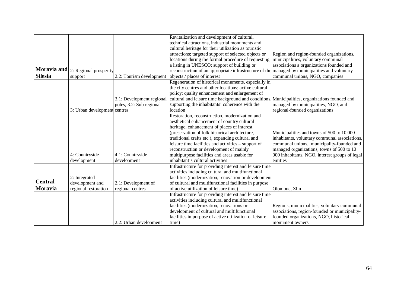|                |                                    |                           | Revitalization and development of cultural,                                                    |                                                |
|----------------|------------------------------------|---------------------------|------------------------------------------------------------------------------------------------|------------------------------------------------|
|                |                                    |                           | technical attractions, industrial monuments and                                                |                                                |
|                |                                    |                           | cultural heritage for their utilization as touristic                                           |                                                |
|                |                                    |                           | attractions; targeted support of selected objects or                                           | Region and region-founded organizations,       |
|                |                                    |                           | locations during the formal procedure of requesting                                            | municipalities, voluntary communal             |
|                |                                    |                           | a listing in UNESCO; support of building or                                                    | associations a organizations founded and       |
|                | Moravia and 2: Regional prosperity |                           | reconstruction of an appropriate infrastructure of the managed by municipalities and voluntary |                                                |
| <b>Silesia</b> | support                            | 2.2: Tourism development  | objects / places of interest                                                                   | communal unions, NGO, companies                |
|                |                                    |                           | Regeneration of historical monuments, especially in                                            |                                                |
|                |                                    |                           | the city centres and other locations; active cultural                                          |                                                |
|                |                                    |                           | policy; quality enhancement and enlargement of                                                 |                                                |
|                |                                    | 3.1: Development regional | cultural and leisure time background and conditions,                                           | Municipalities, organizations founded and      |
|                |                                    | poles, 3.2: Sub regional  | supporting the inhabitants' coherence with the                                                 | managed by municipalities, NGO, and            |
|                | 3: Urban development               | centres                   | location                                                                                       | regional-founded organizations                 |
|                |                                    |                           | Restoration, reconstruction, modernization and                                                 |                                                |
|                |                                    |                           | aesthetical enhancement of country cultural                                                    |                                                |
|                |                                    |                           | heritage, enhancement of places of interest                                                    |                                                |
|                |                                    |                           | (preservation of folk historical architecture,                                                 | Municipalities and towns of 500 to 10 000      |
|                |                                    |                           | traditional crafts etc.), expanding cultural and                                               | inhabitants, voluntary communal associations,  |
|                |                                    |                           | leisure time facilities and activities – support of                                            | communal unions, municipality-founded and      |
|                |                                    |                           | reconstruction or development of mainly                                                        | managed organizations, towns of 500 to 10      |
|                | 4: Countryside                     | 4.1: Countryside          | multipurpose facilities and areas usable for                                                   | 000 inhabitants, NGO, interest groups of legal |
|                | development                        | development               | inhabitant's cultural activities                                                               | entities                                       |
|                |                                    |                           | Infrastructure for providing interest and leisure time                                         |                                                |
|                |                                    |                           | activities including cultural and multifunctional                                              |                                                |
| <b>Central</b> | 2: Integrated                      |                           | facilities (modernization, renovation or developmen                                            |                                                |
|                | development and                    | 2.1: Development of       | of cultural and multifunctional facilities in purpose                                          |                                                |
| Moravia        | regional restoration               | regional centres          | of active utilization of leisure time)                                                         | Olomouc, Zlín                                  |
|                |                                    |                           | Infrastructure for providing interest and leisure time                                         |                                                |
|                |                                    |                           | activities including cultural and multifunctional                                              |                                                |
|                |                                    |                           | facilities (modernization, renovations or                                                      | Regions, municipalities, voluntary communal    |
|                |                                    |                           | development of cultural and multifunctional                                                    | associations, region-founded or municipality-  |
|                |                                    |                           | facilities in purpose of active utilization of leisure                                         | founded organizations, NGO, historical         |
|                |                                    | 2.2: Urban development    | time)                                                                                          | monument owners                                |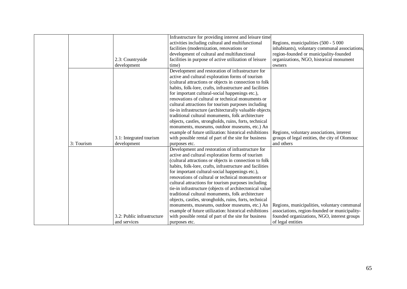|            |                            | Infrastructure for providing interest and leisure time   |                                                |
|------------|----------------------------|----------------------------------------------------------|------------------------------------------------|
|            |                            | activities including cultural and multifunctional        | Regions, municipalities (500 - 5 000           |
|            |                            | facilities (modernization, renovations or                | inhabitants), voluntary communal associations, |
|            |                            | development of cultural and multifunctional              | region-founded or municipality-founded         |
|            | 2.3: Countryside           | facilities in purpose of active utilization of leisure   | organizations, NGO, historical monument        |
|            | development                | time)                                                    | owners                                         |
|            |                            | Development and restoration of infrastructure for        |                                                |
|            |                            | active and cultural exploration forms of tourism         |                                                |
|            |                            | (cultural attractions or objects in connection to folk   |                                                |
|            |                            | habits, folk-lore, crafts, infrastructure and facilities |                                                |
|            |                            | for important cultural-social happenings etc.),          |                                                |
|            |                            | renovations of cultural or technical monuments or        |                                                |
|            |                            | cultural attractions for tourism purposes including      |                                                |
|            |                            | tie-in infrastructure (architecturally valuable objects, |                                                |
|            |                            | traditional cultural monuments, folk architecture        |                                                |
|            |                            | objects, castles, strongholds, ruins, forts, technical   |                                                |
|            |                            | monuments, museums, outdoor museums, etc.) An            |                                                |
|            |                            | example of future utilization: historical exhibitions    | Regions, voluntary associations, interest      |
|            | 3.1: Integrated tourism    | with possible rental of part of the site for business    | groups of legal entities, the city of Olomouc  |
| 3: Tourism | development                | purposes etc.                                            | and others                                     |
|            |                            | Development and restoration of infrastructure for        |                                                |
|            |                            | active and cultural exploration forms of tourism         |                                                |
|            |                            | (cultural attractions or objects in connection to folk   |                                                |
|            |                            | habits, folk-lore, crafts, infrastructure and facilities |                                                |
|            |                            | for important cultural-social happenings etc.),          |                                                |
|            |                            | renovations of cultural or technical monuments or        |                                                |
|            |                            | cultural attractions for tourism purposes including      |                                                |
|            |                            | tie-in infrastructure (objects of architectonical value  |                                                |
|            |                            | traditional cultural monuments, folk architecture        |                                                |
|            |                            | objects, castles, strongholds, ruins, forts, technical   |                                                |
|            |                            | monuments, museums, outdoor museums, etc.) An            | Regions, municipalities, voluntary communal    |
|            |                            | example of future utilization: historical exhibitions    | associations, region-founded or municipality-  |
|            | 3.2: Public infrastructure | with possible rental of part of the site for business    | founded organizations, NGO, interest groups    |
|            | and services               | purposes etc.                                            | of legal entities                              |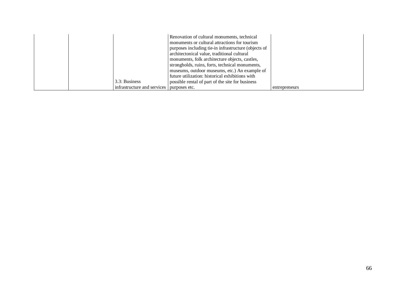|  | 3.3: Business<br>infrastructure and services | possible rental of part of the site for business<br>purposes etc. | entrepreneurs |
|--|----------------------------------------------|-------------------------------------------------------------------|---------------|
|  |                                              | future utilization: historical exhibitions with                   |               |
|  |                                              | museums, outdoor museums, etc.) An example of                     |               |
|  |                                              | strongholds, ruins, forts, technical monuments,                   |               |
|  |                                              | monuments, folk architecture objects, castles,                    |               |
|  |                                              | architectonical value, traditional cultural                       |               |
|  |                                              | purposes including tie-in infrastructure (objects of              |               |
|  |                                              | monuments or cultural attractions for tourism                     |               |
|  |                                              | Renovation of cultural monuments, technical                       |               |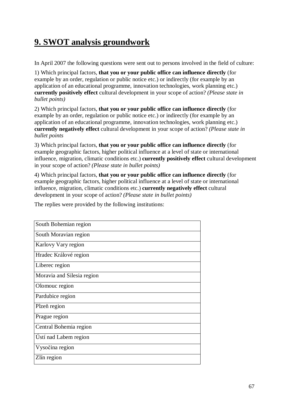# **9. SWOT analysis groundwork**

In April 2007 the following questions were sent out to persons involved in the field of culture:

1) Which principal factors, **that you or your public office can influence directly** (for example by an order, regulation or public notice etc.) or indirectly (for example by an application of an educational programme, innovation technologies, work planning etc.) **currently positively effect** cultural development in your scope of action? *(Please state in bullet points)*

2) Which principal factors, **that you or your public office can influence directly** (for example by an order, regulation or public notice etc.) or indirectly (for example by an application of an educational programme, innovation technologies, work planning etc.) **currently negatively effect** cultural development in your scope of action? *(Please state in bullet points* 

3) Which principal factors, **that you or your public office can influence directly** (for example geographic factors, higher political influence at a level of state or international influence, migration, climatic conditions etc.) **currently positively effect** cultural development in your scope of action? *(Please state in bullet points)*

4) Which principal factors, **that you or your public office can influence directly** (for example geographic factors, higher political influence at a level of state or international influence, migration, climatic conditions etc.) **currently negatively effect** cultural development in your scope of action? *(Please state in bullet points)*

The replies were provided by the following institutions:

| South Bohemian region      |
|----------------------------|
| South Moravian region      |
| Karlovy Vary region        |
| Hradec Králové region      |
| Liberec region             |
| Moravia and Silesia region |
| Olomouc region             |
| Pardubice region           |
| Plzeň region               |
| Prague region              |
| Central Bohemia region     |
| Ústí nad Labem region      |
| Vysočina region            |
| Zlín region                |
|                            |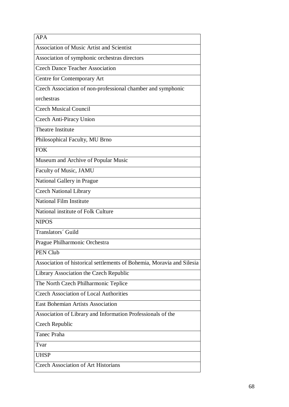| <b>APA</b>                                                            |
|-----------------------------------------------------------------------|
| <b>Association of Music Artist and Scientist</b>                      |
| Association of symphonic orchestras directors                         |
| <b>Czech Dance Teacher Association</b>                                |
| Centre for Contemporary Art                                           |
| Czech Association of non-professional chamber and symphonic           |
| orchestras                                                            |
| <b>Czech Musical Council</b>                                          |
| Czech Anti-Piracy Union                                               |
| <b>Theatre Institute</b>                                              |
| Philosophical Faculty, MU Brno                                        |
| <b>FOK</b>                                                            |
| Museum and Archive of Popular Music                                   |
| Faculty of Music, JAMU                                                |
| National Gallery in Prague                                            |
| <b>Czech National Library</b>                                         |
| <b>National Film Institute</b>                                        |
| National institute of Folk Culture                                    |
| <b>NIPOS</b>                                                          |
| Translators' Guild                                                    |
| Prague Philharmonic Orchestra                                         |
| PEN Club                                                              |
| Association of historical settlements of Bohemia, Moravia and Silesia |
| Library Association the Czech Republic                                |
| The North Czech Philharmonic Teplice                                  |
| <b>Czech Association of Local Authorities</b>                         |
| <b>East Bohemian Artists Association</b>                              |
| Association of Library and Information Professionals of the           |
| Czech Republic                                                        |
| Tanec Praha                                                           |
| Tvar                                                                  |
| <b>UHSP</b>                                                           |
| <b>Czech Association of Art Historians</b>                            |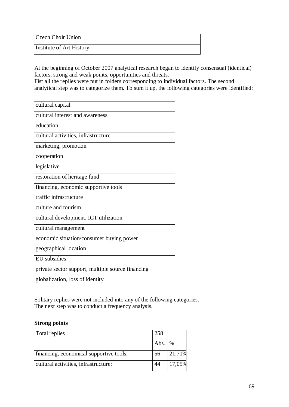Czech Choir Union

Institute of Art History

At the beginning of October 2007 analytical research began to identify consensual (identical) factors, strong and weak points, opportunities and threats.

Fist all the replies were put in folders corresponding to individual factors. The second analytical step was to categorize them. To sum it up, the following categories were identified:

| cultural capital                                  |
|---------------------------------------------------|
| cultural interest and awareness                   |
| education                                         |
| cultural activities, infrastructure               |
| marketing, promotion                              |
| cooperation                                       |
| legislative                                       |
| restoration of heritage fund                      |
| financing, economic supportive tools              |
| traffic infrastructure                            |
| culture and tourism                               |
| cultural development, ICT utilization             |
| cultural management                               |
| economic situation/consumer buying power          |
| geographical location                             |
| EU subsidies                                      |
| private sector support, multiple source financing |
| globalization, loss of identity                   |

Solitary replies were not included into any of the following categories. The next step was to conduct a frequency analysis.

#### **Strong points**

| Total replies                           | 258  |               |
|-----------------------------------------|------|---------------|
|                                         | Abs. | $\frac{0}{0}$ |
| financing, economical supportive tools: | 56   | 21,71%        |
| cultural activities, infrastructure:    | 44   | 17,05%        |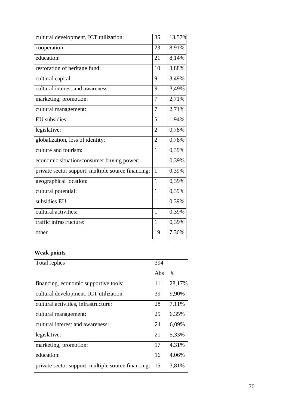|                                                    | 35             |        |
|----------------------------------------------------|----------------|--------|
| cultural development, ICT utilization:             |                | 13,57% |
| cooperation:                                       | 23             | 8,91%  |
| education:                                         | 21             | 8,14%  |
| restoration of heritage fund:                      | 10             | 3,88%  |
| cultural capital:                                  | 9              | 3,49%  |
| cultural interest and awareness:                   | 9              | 3,49%  |
| marketing, promotion:                              | 7              | 2,71%  |
| cultural management:                               | 7              | 2,71%  |
| EU subsidies:                                      | 5              | 1,94%  |
| legislative:                                       | $\overline{2}$ | 0,78%  |
| globalization, loss of identity:                   | $\overline{2}$ | 0,78%  |
| culture and tourism:                               | $\mathbf{1}$   | 0,39%  |
| economic situation/consumer buying power:          | 1              | 0,39%  |
| private sector support, multiple source financing: | $\mathbf{1}$   | 0,39%  |
| geographical location:                             | $\mathbf{1}$   | 0,39%  |
| cultural potential:                                | $\mathbf{1}$   | 0,39%  |
| subsidies EU:                                      | 1              | 0,39%  |
| cultural activities:                               | $\mathbf{1}$   | 0,39%  |
| traffic infrastructure:                            | 1              | 0,39%  |
| other                                              | 19             | 7,36%  |

## **Weak points**

| Total replies                                      | 394 |        |
|----------------------------------------------------|-----|--------|
|                                                    | Abs | $\%$   |
| financing, economic supportive tools:              | 111 | 28,17% |
| cultural development, ICT utilization:             | 39  | 9,90%  |
| cultural activities, infrastructure:               | 28  | 7,11%  |
| cultural management:                               | 25  | 6,35%  |
| cultural interest and awareness:                   | 24  | 6,09%  |
| legislative:                                       | 21  | 5,33%  |
| marketing, promotion:                              | 17  | 4,31%  |
| education:                                         | 16  | 4,06%  |
| private sector support, multiple source financing: | 15  | 3,81%  |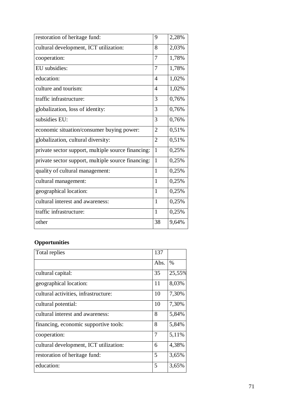| restoration of heritage fund:                      | 9              | 2,28% |
|----------------------------------------------------|----------------|-------|
| cultural development, ICT utilization:             | 8              | 2,03% |
| cooperation:                                       | 7              | 1,78% |
| EU subsidies:                                      | 7              | 1,78% |
| education:                                         | $\overline{4}$ | 1,02% |
| culture and tourism:                               | $\overline{4}$ | 1,02% |
| traffic infrastructure:                            | 3              | 0,76% |
| globalization, loss of identity:                   | 3              | 0,76% |
| subsidies EU:                                      | 3              | 0,76% |
| economic situation/consumer buying power:          | $\overline{2}$ | 0,51% |
| globalization, cultural diversity:                 | $\overline{2}$ | 0,51% |
| private sector support, multiple source financing: | 1              | 0,25% |
| private sector support, multiple source financing: | $\mathbf{1}$   | 0,25% |
| quality of cultural management:                    | $\mathbf{1}$   | 0,25% |
| cultural management:                               | 1              | 0,25% |
| geographical location:                             | $\mathbf{1}$   | 0,25% |
| cultural interest and awareness:                   | 1              | 0,25% |
| traffic infrastructure:                            | 1              | 0,25% |
| other                                              | 38             | 9,64% |

# **Opportunities**

| Total replies                          | 137  |               |
|----------------------------------------|------|---------------|
|                                        | Abs. | $\frac{0}{0}$ |
| cultural capital:                      | 35   | 25,55%        |
| geographical location:                 | 11   | 8,03%         |
| cultural activities, infrastructure:   | 10   | 7,30%         |
| cultural potential:                    | 10   | 7,30%         |
| cultural interest and awareness:       | 8    | 5,84%         |
| financing, economic supportive tools:  | 8    | 5,84%         |
| cooperation:                           | 7    | 5,11%         |
| cultural development, ICT utilization: | 6    | 4,38%         |
| restoration of heritage fund:          | 5    | 3,65%         |
| education:                             | 5    | 3,65%         |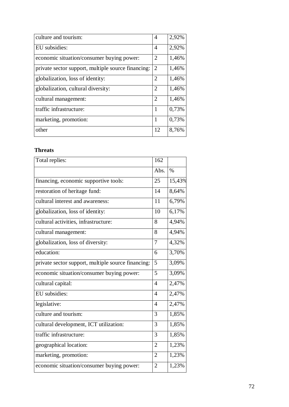| culture and tourism:                               | $\overline{4}$ | 2,92% |
|----------------------------------------------------|----------------|-------|
| EU subsidies:                                      | $\overline{4}$ | 2,92% |
| economic situation/consumer buying power:          | $\overline{2}$ | 1,46% |
| private sector support, multiple source financing: | $\overline{2}$ | 1,46% |
| globalization, loss of identity:                   | $\overline{2}$ | 1,46% |
| globalization, cultural diversity:                 | $\overline{2}$ | 1,46% |
| cultural management:                               | $\overline{2}$ | 1,46% |
| traffic infrastructure:                            | 1              | 0,73% |
| marketing, promotion:                              | 1              | 0,73% |
| other                                              | 12             | 8,76% |

# **Threats**

| Total replies:                                     | 162            |                     |
|----------------------------------------------------|----------------|---------------------|
|                                                    | Abs.           | $\%$                |
| financing, economic supportive tools:              | 25             | 15,43%              |
| restoration of heritage fund:                      | 14             | 8,64%               |
| cultural interest and awareness:                   | 11             | 6,79%               |
| globalization, loss of identity:                   | 10             | 6,17%               |
| cultural activities, infrastructure:               | 8              | 4,94%               |
| cultural management:                               | 8              | 4,94%               |
| globalization, loss of diversity:                  | 7              | 4,32%               |
| education:                                         | 6              | 3,70%               |
| private sector support, multiple source financing: | 5              | 3,09%               |
| economic situation/consumer buying power:          | 5              | 3,09%               |
| cultural capital:                                  | $\overline{4}$ | 2,47%               |
| EU subsidies:                                      | $\overline{4}$ | 2,47%               |
| legislative:                                       | 4              | 2,47%               |
| culture and tourism:                               | 3              | 1,85%               |
| cultural development, ICT utilization:             | 3              | 1,85%               |
| traffic infrastructure:                            | 3              | $\overline{1,85\%}$ |
| geographical location:                             | $\overline{2}$ | 1,23%               |
| marketing, promotion:                              | $\overline{2}$ | 1,23%               |
| economic situation/consumer buying power:          | $\overline{2}$ | 1,23%               |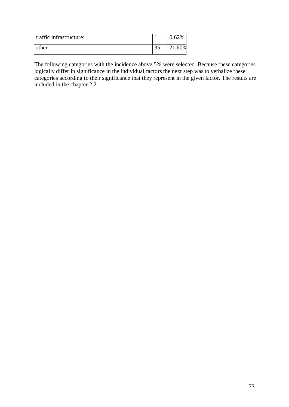| traffic infrastructure: |          | 0.62%  |
|-------------------------|----------|--------|
| other                   | $\Omega$ | 21,60% |

The following categories with the incidence above 5% were selected. Because these categories logically differ in significance in the individual factors the next step was to verbalize these categories according to their significance that they represent in the given factor. The results are included in the chapter 2.2.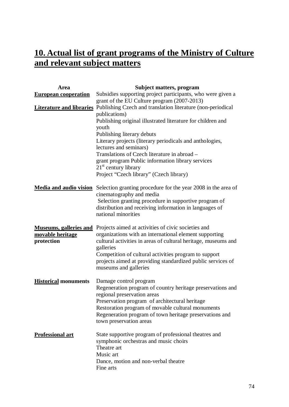## **10. Actual list of grant programs of the Ministry of Culture and relevant subject matters**

| Area                          | Subject matters, program                                                                                     |
|-------------------------------|--------------------------------------------------------------------------------------------------------------|
| <b>European cooperation</b>   | Subsidies supporting project participants, who were given a                                                  |
|                               | grant of the EU Culture program (2007-2013)                                                                  |
|                               | <b>Literature and libraries</b> Publishing Czech and translation literature (non-periodical                  |
|                               | publications)                                                                                                |
|                               | Publishing original illustrated literature for children and                                                  |
|                               | youth                                                                                                        |
|                               | Publishing literary debuts                                                                                   |
|                               | Literary projects (literary periodicals and anthologies,                                                     |
|                               | lectures and seminars)                                                                                       |
|                               | Translations of Czech literature in abroad –                                                                 |
|                               | grant program Public information library services                                                            |
|                               | $21st$ century library<br>Project "Czech library" (Czech library)                                            |
|                               |                                                                                                              |
| <b>Media and audio vision</b> | Selection granting procedure for the year 2008 in the area of                                                |
|                               | cinematography and media                                                                                     |
|                               | Selection granting procedure in supportive program of                                                        |
|                               | distribution and receiving information in languages of                                                       |
|                               | national minorities                                                                                          |
|                               | <b>Museums, galleries and</b> Projects aimed at activities of civic societies and                            |
| movable heritage              | organizations with an international element supporting                                                       |
| protection                    | cultural activities in areas of cultural heritage, museums and                                               |
|                               | galleries                                                                                                    |
|                               | Competition of cultural activities program to support                                                        |
|                               | projects aimed at providing standardized public services of                                                  |
|                               | museums and galleries                                                                                        |
| <b>Historical monuments</b>   | Damage control program                                                                                       |
|                               | Regeneration program of country heritage preservations and                                                   |
|                               | regional preservation areas                                                                                  |
|                               | Preservation program of architectural heritage                                                               |
|                               | Restoration program of movable cultural monuments<br>Regeneration program of town heritage preservations and |
|                               | town preservation areas                                                                                      |
|                               |                                                                                                              |
| <b>Professional art</b>       | State supportive program of professional theatres and                                                        |
|                               | symphonic orchestras and music choirs                                                                        |
|                               | Theatre art                                                                                                  |
|                               | Music art                                                                                                    |
|                               | Dance, motion and non-verbal theatre                                                                         |
|                               | Fine arts                                                                                                    |